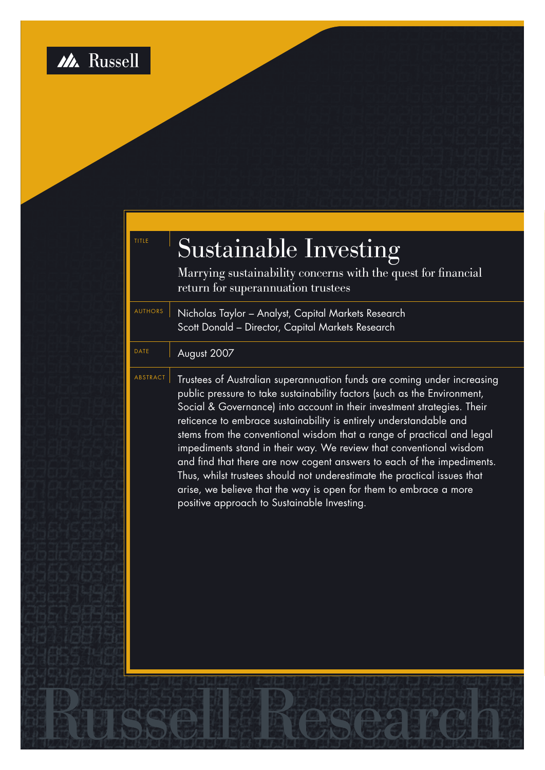

| TITLE          | <b>Sustainable Investing</b><br>Marrying sustainability concerns with the quest for financial<br>return for superannuation trustees                                                                                                                                                                                                                                                                                                                                                                                                                                                                                                                                                                                            |
|----------------|--------------------------------------------------------------------------------------------------------------------------------------------------------------------------------------------------------------------------------------------------------------------------------------------------------------------------------------------------------------------------------------------------------------------------------------------------------------------------------------------------------------------------------------------------------------------------------------------------------------------------------------------------------------------------------------------------------------------------------|
| <b>AUTHORS</b> | Nicholas Taylor - Analyst, Capital Markets Research<br>Scott Donald - Director, Capital Markets Research                                                                                                                                                                                                                                                                                                                                                                                                                                                                                                                                                                                                                       |
| <b>DATE</b>    | August 2007                                                                                                                                                                                                                                                                                                                                                                                                                                                                                                                                                                                                                                                                                                                    |
| ABSTRACT       | Trustees of Australian superannuation funds are coming under increasing<br>public pressure to take sustainability factors (such as the Environment,<br>Social & Governance) into account in their investment strategies. Their<br>reticence to embrace sustainability is entirely understandable and<br>stems from the conventional wisdom that a range of practical and legal<br>impediments stand in their way. We review that conventional wisdom<br>and find that there are now cogent answers to each of the impediments.<br>Thus, whilst trustees should not underestimate the practical issues that<br>arise, we believe that the way is open for them to embrace a more<br>positive approach to Sustainable Investing. |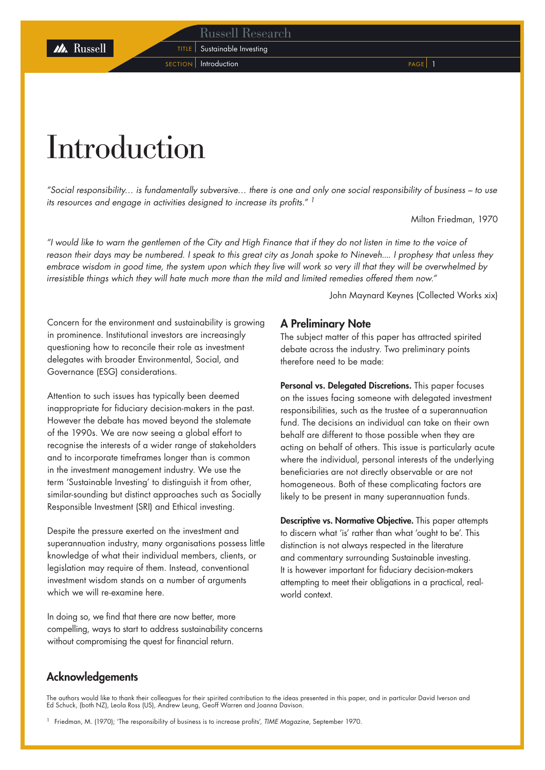### Russell Research

TITLE | Sustainable Investing

SECTION Introduction **PAGE** 1

# Introduction

*"Social responsibility… is fundamentally subversive… there is one and only one social responsibility of business – to use its resources and engage in activities designed to increase its profits." <sup>1</sup>*

Milton Friedman, 1970

*"I would like to warn the gentlemen of the City and High Finance that if they do not listen in time to the voice of reason their days may be numbered. I speak to this great city as Jonah spoke to Nineveh.... I prophesy that unless they embrace wisdom in good time, the system upon which they live will work so very ill that they will be overwhelmed by irresistible things which they will hate much more than the mild and limited remedies offered them now."*

John Maynard Keynes (Collected Works xix)

Concern for the environment and sustainability is growing in prominence. Institutional investors are increasingly questioning how to reconcile their role as investment delegates with broader Environmental, Social, and Governance (ESG) considerations.

Attention to such issues has typically been deemed inappropriate for fiduciary decision-makers in the past. However the debate has moved beyond the stalemate of the 1990s. We are now seeing a global effort to recognise the interests of a wider range of stakeholders and to incorporate timeframes longer than is common in the investment management industry. We use the term 'Sustainable Investing' to distinguish it from other, similar-sounding but distinct approaches such as Socially Responsible Investment (SRI) and Ethical investing.

Despite the pressure exerted on the investment and superannuation industry, many organisations possess little knowledge of what their individual members, clients, or legislation may require of them. Instead, conventional investment wisdom stands on a number of arguments which we will re-examine here.

In doing so, we find that there are now better, more compelling, ways to start to address sustainability concerns without compromising the quest for financial return.

### A Preliminary Note

The subject matter of this paper has attracted spirited debate across the industry. Two preliminary points therefore need to be made:

Personal vs. Delegated Discretions. This paper focuses on the issues facing someone with delegated investment responsibilities, such as the trustee of a superannuation fund. The decisions an individual can take on their own behalf are different to those possible when they are acting on behalf of others. This issue is particularly acute where the individual, personal interests of the underlying beneficiaries are not directly observable or are not homogeneous. Both of these complicating factors are likely to be present in many superannuation funds.

Descriptive vs. Normative Objective. This paper attempts to discern what 'is' rather than what 'ought to be'. This distinction is not always respected in the literature and commentary surrounding Sustainable investing. It is however important for fiduciary decision-makers attempting to meet their obligations in a practical, realworld context.

### Acknowledgements

The authors would like to thank their colleagues for their spirited contribution to the ideas presented in this paper, and in particular David Iverson and Ed Schuck, (both NZ), Leola Ross (US), Andrew Leung, Geoff Warren and Joanna Davison.

<sup>1</sup> Friedman, M. (1970); 'The responsibility of business is to increase profits', *TIME Magazine*, September 1970.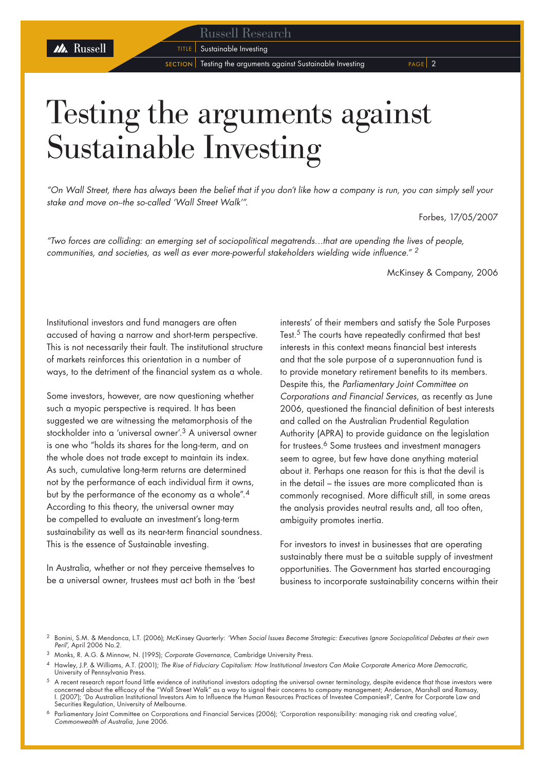Russell Research

**TITLE** Sustainable Investing

 $s$  ECTION  $\sqrt{ }$  Testing the arguments against Sustainable Investing PAGE 2

# Testing the arguments against Sustainable Investing

*"On Wall Street, there has always been the belief that if you don't like how a company is run, you can simply sell your stake and move on--the so-called 'Wall Street Walk'".* 

Forbes, 17/05/2007

*"Two forces are colliding: an emerging set of sociopolitical megatrends…that are upending the lives of people, communities, and societies, as well as ever more-powerful stakeholders wielding wide influence." <sup>2</sup>*

McKinsey & Company, 2006

Institutional investors and fund managers are often accused of having a narrow and short-term perspective. This is not necessarily their fault. The institutional structure of markets reinforces this orientation in a number of ways, to the detriment of the financial system as a whole.

Some investors, however, are now questioning whether such a myopic perspective is required. It has been suggested we are witnessing the metamorphosis of the stockholder into a 'universal owner'.<sup>3</sup> A universal owner is one who "holds its shares for the long-term, and on the whole does not trade except to maintain its index. As such, cumulative long-term returns are determined not by the performance of each individual firm it owns, but by the performance of the economy as a whole".<sup>4</sup> According to this theory, the universal owner may be compelled to evaluate an investment's long-term sustainability as well as its near-term financial soundness. This is the essence of Sustainable investing.

In Australia, whether or not they perceive themselves to be a universal owner, trustees must act both in the 'best interests' of their members and satisfy the Sole Purposes Test.5 The courts have repeatedly confirmed that best interests in this context means financial best interests and that the sole purpose of a superannuation fund is to provide monetary retirement benefits to its members. Despite this, the *Parliamentary Joint Committee on Corporations and Financial Services*, as recently as June 2006, questioned the financial definition of best interests and called on the Australian Prudential Regulation Authority (APRA) to provide guidance on the legislation for trustees.<sup>6</sup> Some trustees and investment managers seem to agree, but few have done anything material about it. Perhaps one reason for this is that the devil is in the detail – the issues are more complicated than is commonly recognised. More difficult still, in some areas the analysis provides neutral results and, all too often, ambiguity promotes inertia.

For investors to invest in businesses that are operating sustainably there must be a suitable supply of investment opportunities. The Government has started encouraging business to incorporate sustainability concerns within their

Parliamentary Joint Committee on Corporations and Financial Services (2006); 'Corporation responsibility: managing risk and creating value', *Commonwealth of Australia*, June 2006.

<sup>2</sup> Bonini, S.M. & Mendonca, L.T. (2006); McKinsey Quarterly: *'When Social Issues Become Strategic: Executives Ignore Sociopolitical Debates at their own Peril',* April 2006 No.2.

<sup>3</sup> Monks, R. A.G. & Minnow, N. (1995); *Corporate Governance,* Cambridge University Press.

<sup>4</sup> Hawley, J.P. & Williams, A.T. (2001); *The Rise of Fiduciary Capitalism: How Institutional Investors Can Make Corporate America More Democratic,*  University of Pennsylvania Press.

 $^5\,$  A recent research report found little evidence of institutional investors adopting the universal owner terminology, despite evidence that those investors were concerned about the efficacy of the "Wall Street Walk" as a way to signal their concerns to company management; Anderson, Marshall and Ramsay, I. (2007); 'Do Australian Institutional Investors Aim to Influence the Human Resources Practices of Investee Companies?', Centre for Corporate Law and Securities Regulation, University of Melbourne.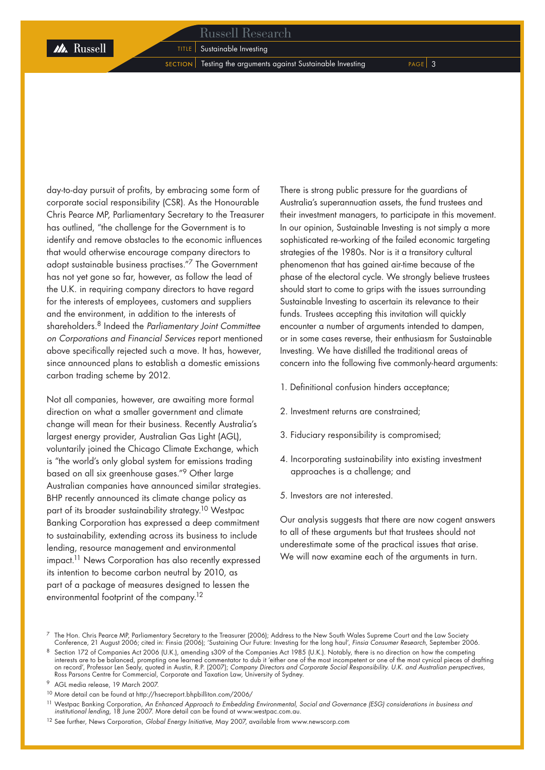**M** Russell

 $s$  ECTION Testing the arguments against Sustainable Investing  $s$  PAGE 3

day-to-day pursuit of profits, by embracing some form of corporate social responsibility (CSR). As the Honourable Chris Pearce MP, Parliamentary Secretary to the Treasurer has outlined, "the challenge for the Government is to identify and remove obstacles to the economic influences that would otherwise encourage company directors to adopt sustainable business practises."7 The Government has not yet gone so far, however, as follow the lead of the U.K. in requiring company directors to have regard for the interests of employees, customers and suppliers and the environment, in addition to the interests of shareholders.8 Indeed the *Parliamentary Joint Committee on Corporations and Financial Services* report mentioned above specifically rejected such a move. It has, however, since announced plans to establish a domestic emissions carbon trading scheme by 2012.

Not all companies, however, are awaiting more formal direction on what a smaller government and climate change will mean for their business. Recently Australia's largest energy provider, Australian Gas Light (AGL), voluntarily joined the Chicago Climate Exchange, which is "the world's only global system for emissions trading based on all six greenhouse gases."9 Other large Australian companies have announced similar strategies. BHP recently announced its climate change policy as part of its broader sustainability strategy.10 Westpac Banking Corporation has expressed a deep commitment to sustainability, extending across its business to include lending, resource management and environmental impact.<sup>11</sup> News Corporation has also recently expressed its intention to become carbon neutral by 2010, as part of a package of measures designed to lessen the environmental footprint of the company.12

There is strong public pressure for the guardians of Australia's superannuation assets, the fund trustees and their investment managers, to participate in this movement. In our opinion, Sustainable Investing is not simply a more sophisticated re-working of the failed economic targeting strategies of the 1980s. Nor is it a transitory cultural phenomenon that has gained air-time because of the phase of the electoral cycle. We strongly believe trustees should start to come to grips with the issues surrounding Sustainable Investing to ascertain its relevance to their funds. Trustees accepting this invitation will quickly encounter a number of arguments intended to dampen, or in some cases reverse, their enthusiasm for Sustainable Investing. We have distilled the traditional areas of concern into the following five commonly-heard arguments:

- 1. Definitional confusion hinders acceptance;
- 2. Investment returns are constrained;
- 3. Fiduciary responsibility is compromised;
- 4. Incorporating sustainability into existing investment approaches is a challenge; and
- 5. Investors are not interested.

Our analysis suggests that there are now cogent answers to all of these arguments but that trustees should not underestimate some of the practical issues that arise. We will now examine each of the arguments in turn.

<sup>10</sup> More detail can be found at http://hsecreport.bhpbilliton.com/2006/

<sup>7</sup> The Hon. Chris Pearce MP, Parliamentary Secretary to the Treasurer (2006); Address to the New South Wales Supreme Court and the Law Society Conference, 21 August 2006; cited in: Finsia (2006); 'Sustaining Our Future: Investing for the long haul', *Finsia Consumer Research*, September 2006.

 $8$  Section 172 of Companies Act 2006 (U.K.), amending s309 of the Companies Act 1985 (U.K.). Notably, there is no direction on how the competing interests are to be balanced, prompting one learned commentator to dub it 'either one of the most incompetent or one of the most cynical pieces of drafting on record', Professor Len Sealy, quoted in Austin, R.P. (2007); *Company Directors and Corporate Social Responsibility. U.K. and Australian perspectives*, Ross Parsons Centre for Commercial, Corporate and Taxation Law, University of Sydney.

<sup>9</sup> AGL media release, 19 March 2007.

<sup>11</sup> Westpac Banking Corporation, *An Enhanced Approach to Embedding Environmental, Social and Governance (ESG) considerations in business and institutional lending,* 18 June 2007. More detail can be found at www.westpac.com.au.

<sup>12</sup> See further, News Corporation, *Global Energy Initiative,* May 2007, available from www.newscorp.com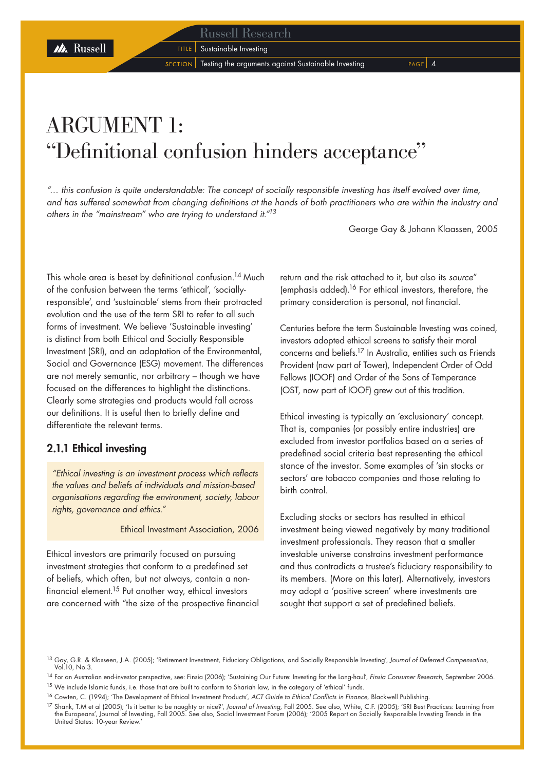**TITLE** Sustainable Investing

 $s$  SECTION Testing the arguments against Sustainable Investing PAGE  $\begin{bmatrix} 4 \end{bmatrix}$ 

## ARGUMENT 1: "Definitional confusion hinders acceptance"

*"… this confusion is quite understandable: The concept of socially responsible investing has itself evolved over time, and has suffered somewhat from changing definitions at the hands of both practitioners who are within the industry and others in the "mainstream" who are trying to understand it."13*

George Gay & Johann Klaassen, 2005

This whole area is beset by definitional confusion.<sup>14</sup> Much of the confusion between the terms 'ethical', 'sociallyresponsible', and 'sustainable' stems from their protracted evolution and the use of the term SRI to refer to all such forms of investment. We believe 'Sustainable investing' is distinct from both Ethical and Socially Responsible Investment (SRI), and an adaptation of the Environmental, Social and Governance (ESG) movement. The differences are not merely semantic, nor arbitrary – though we have focused on the differences to highlight the distinctions. Clearly some strategies and products would fall across our definitions. It is useful then to briefly define and differentiate the relevant terms.

### 2.1.1 Ethical investing

*"Ethical investing is an investment process which reflects the values and beliefs of individuals and mission-based organisations regarding the environment, society, labour rights, governance and ethics."* 

Ethical Investment Association, 2006

Ethical investors are primarily focused on pursuing investment strategies that conform to a predefined set of beliefs, which often, but not always, contain a nonfinancial element.15 Put another way, ethical investors are concerned with "the size of the prospective financial return and the risk attached to it, but also its *source*" (emphasis added).16 For ethical investors, therefore, the primary consideration is personal, not financial.

Centuries before the term Sustainable Investing was coined, investors adopted ethical screens to satisfy their moral concerns and beliefs.17 In Australia, entities such as Friends Provident (now part of Tower), Independent Order of Odd Fellows (IOOF) and Order of the Sons of Temperance (OST, now part of IOOF) grew out of this tradition.

Ethical investing is typically an 'exclusionary' concept. That is, companies (or possibly entire industries) are excluded from investor portfolios based on a series of predefined social criteria best representing the ethical stance of the investor. Some examples of 'sin stocks or sectors' are tobacco companies and those relating to birth control.

Excluding stocks or sectors has resulted in ethical investment being viewed negatively by many traditional investment professionals. They reason that a smaller investable universe constrains investment performance and thus contradicts a trustee's fiduciary responsibility to its members. (More on this later). Alternatively, investors may adopt a 'positive screen' where investments are sought that support a set of predefined beliefs.

M Russell

<sup>13</sup> Gay, G.R. & Klasseen, J.A. (2005); 'Retirement Investment, Fiduciary Obligations, and Socially Responsible Investing', *Journal of Deferred Compensation,*  Vol.10, No.3.

<sup>14</sup> For an Australian end-investor perspective, see: Finsia (2006); 'Sustaining Our Future: Investing for the Long-haul', *Finsia Consumer Research,* September 2006.

<sup>&</sup>lt;sup>15</sup> We include Islamic funds, i.e. those that are built to conform to Shariah law, in the category of 'ethical' funds.

<sup>16</sup> Cowten, C. (1994); 'The Development of Ethical Investment Products', *ACT Guide to Ethical Conflicts in Finance,* Blackwell Publishing.

<sup>17</sup> Shank, T.M et al (2005); 'Is it better to be naughty or nice?', *Journal of Investing,* Fall 2005. See also, White, C.F. (2005); 'SRI Best Practices: Learning from the Europeans', Journal of Investing, Fall 2005. See also, Social Investment Forum (2006); '2005 Report on Socially Responsible Investing Trends in the United States: 10-year Review.'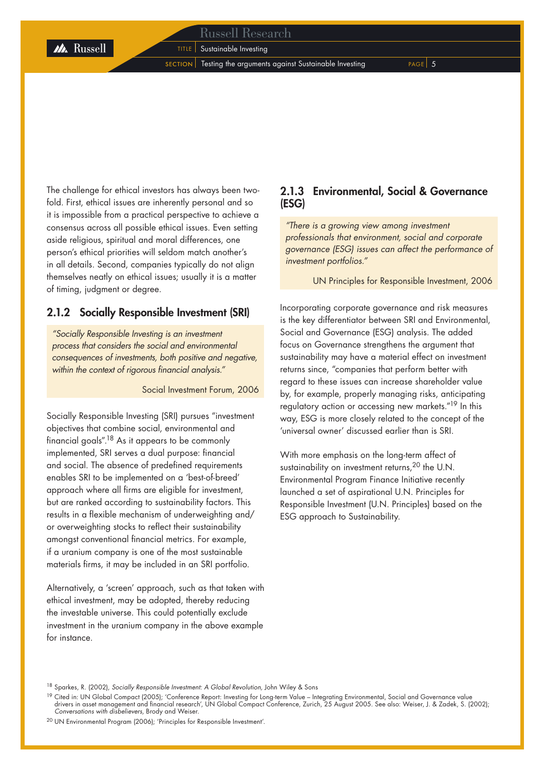### Russell Research

**TITLE** Sustainable Investing

 $s$  ECTION Testing the arguments against Sustainable Investing  $s$ 

The challenge for ethical investors has always been twofold. First, ethical issues are inherently personal and so it is impossible from a practical perspective to achieve a consensus across all possible ethical issues. Even setting aside religious, spiritual and moral differences, one person's ethical priorities will seldom match another's in all details. Second, companies typically do not align themselves neatly on ethical issues; usually it is a matter of timing, judgment or degree.

### 2.1.2 Socially Responsible Investment (SRI)

*"Socially Responsible Investing is an investment process that considers the social and environmental consequences of investments, both positive and negative, within the context of rigorous financial analysis."*

Social Investment Forum, 2006

Socially Responsible Investing (SRI) pursues "investment objectives that combine social, environmental and financial goals".18 As it appears to be commonly implemented, SRI serves a dual purpose: financial and social. The absence of predefined requirements enables SRI to be implemented on a 'best-of-breed' approach where all firms are eligible for investment, but are ranked according to sustainability factors. This results in a flexible mechanism of underweighting and/ or overweighting stocks to reflect their sustainability amongst conventional financial metrics. For example, if a uranium company is one of the most sustainable materials firms, it may be included in an SRI portfolio.

Alternatively, a 'screen' approach, such as that taken with ethical investment, may be adopted, thereby reducing the investable universe. This could potentially exclude investment in the uranium company in the above example for instance.

### 2.1.3 Environmental, Social & Governance (ESG)

*"There is a growing view among investment professionals that environment, social and corporate governance (ESG) issues can affect the performance of investment portfolios."*

UN Principles for Responsible Investment, 2006

Incorporating corporate governance and risk measures is the key differentiator between SRI and Environmental, Social and Governance (ESG) analysis. The added focus on Governance strengthens the argument that sustainability may have a material effect on investment returns since, "companies that perform better with regard to these issues can increase shareholder value by, for example, properly managing risks, anticipating regulatory action or accessing new markets."19 In this way, ESG is more closely related to the concept of the 'universal owner' discussed earlier than is SRI.

With more emphasis on the long-term affect of sustainability on investment returns,<sup>20</sup> the U.N. Environmental Program Finance Initiative recently launched a set of aspirational U.N. Principles for Responsible Investment (U.N. Principles) based on the ESG approach to Sustainability.

<sup>18</sup> Sparkes, R. (2002), *Socially Responsible Investment: A Global Revolution,* John Wiley & Sons

<sup>&</sup>lt;sup>19</sup> Cited in: UN Global Compact (2005); 'Conference Report: Investing for Long-term Value – Integrating Environmental, Social and Governance value drivers in asset management and financial research', UN Global Compact Conference, Zurich, 25 August 2005. See also: Weiser, J. & Zadek, S. (2002); *Conversations with disbelievers,* Brody and Weiser.

<sup>20</sup> UN Environmental Program (2006); 'Principles for Responsible Investment'.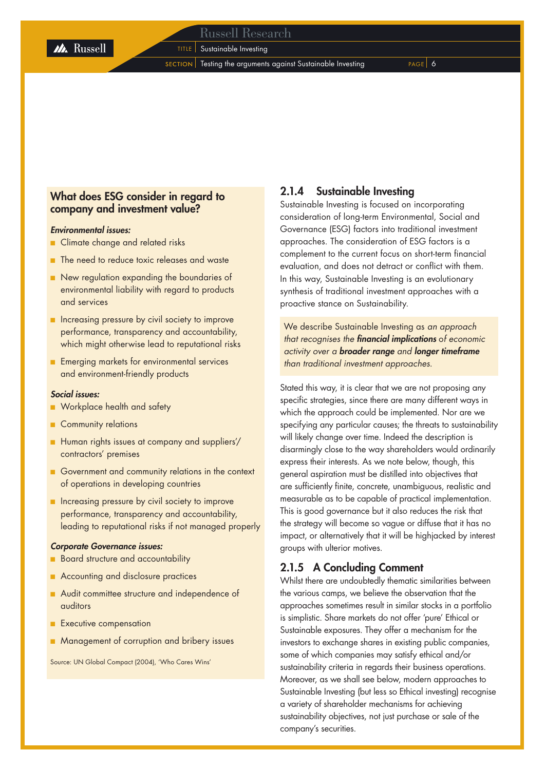**TITLE** Sustainable Investing

 $s$  ECTION  $\vert$  Testing the arguments against Sustainable Investing PAGE  $\vert$  6

### What does ESG consider in regard to company and investment value?

### *Environmental issues:*

- Climate change and related risks
- The need to reduce toxic releases and waste
- New regulation expanding the boundaries of environmental liability with regard to products and services
- Increasing pressure by civil society to improve performance, transparency and accountability, which might otherwise lead to reputational risks
- Emerging markets for environmental services and environment-friendly products

### *Social issues:*

- Workplace health and safety
- Community relations
- Human rights issues at company and suppliers'/ contractors' premises
- Government and community relations in the context of operations in developing countries
- Increasing pressure by civil society to improve performance, transparency and accountability, leading to reputational risks if not managed properly

### *Corporate Governance issues:*

- Board structure and accountability ■
- Accounting and disclosure practices
- Audit committee structure and independence of auditors
- Executive compensation
- Management of corruption and bribery issues ■

Source: UN Global Compact (2004), 'Who Cares Wins'

### 2.1.4 Sustainable Investing

Sustainable Investing is focused on incorporating consideration of long-term Environmental, Social and Governance (ESG) factors into traditional investment approaches. The consideration of ESG factors is a complement to the current focus on short-term financial evaluation, and does not detract or conflict with them. In this way, Sustainable Investing is an evolutionary synthesis of traditional investment approaches with a proactive stance on Sustainability.

We describe Sustainable Investing as *an approach that recognises the financial implications* o*f economic activity over a broader range and longer timeframe than traditional investment approaches.* 

Stated this way, it is clear that we are not proposing any specific strategies, since there are many different ways in which the approach could be implemented. Nor are we specifying any particular causes; the threats to sustainability will likely change over time. Indeed the description is disarmingly close to the way shareholders would ordinarily express their interests. As we note below, though, this general aspiration must be distilled into objectives that are sufficiently finite, concrete, unambiguous, realistic and measurable as to be capable of practical implementation. This is good governance but it also reduces the risk that the strategy will become so vague or diffuse that it has no impact, or alternatively that it will be highjacked by interest groups with ulterior motives.

### 2.1.5 A Concluding Comment

Whilst there are undoubtedly thematic similarities between the various camps, we believe the observation that the approaches sometimes result in similar stocks in a portfolio is simplistic. Share markets do not offer 'pure' Ethical or Sustainable exposures. They offer a mechanism for the investors to exchange shares in existing public companies, some of which companies may satisfy ethical and/or sustainability criteria in regards their business operations. Moreover, as we shall see below, modern approaches to Sustainable Investing (but less so Ethical investing) recognise a variety of shareholder mechanisms for achieving sustainability objectives, not just purchase or sale of the company's securities.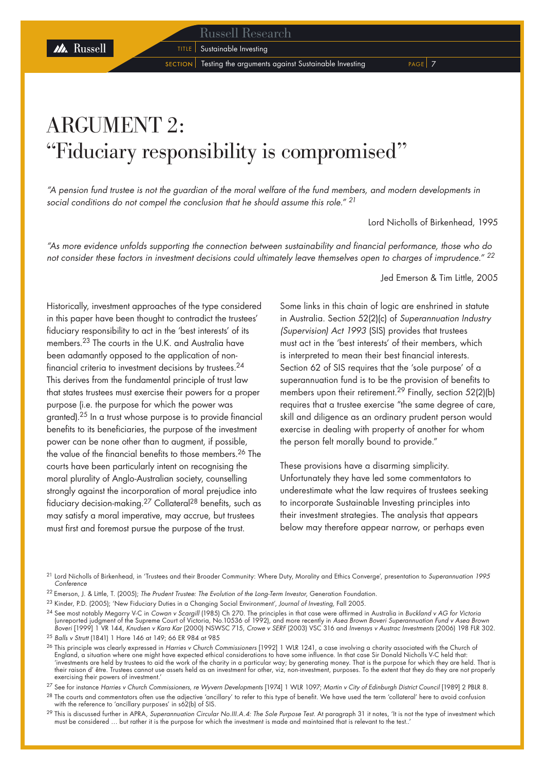**TITLE** Sustainable Investing

 $s$  SECTION  $\vert$  Testing the arguments against Sustainable Investing  $s$ 

## ARGUMENT 2: "Fiduciary responsibility is compromised"

*"A pension fund trustee is not the guardian of the moral welfare of the fund members, and modern developments in social conditions do not compel the conclusion that he should assume this role." <sup>21</sup>*

Lord Nicholls of Birkenhead, 1995

*"As more evidence unfolds supporting the connection between sustainability and financial performance, those who do not consider these factors in investment decisions could ultimately leave themselves open to charges of imprudence." <sup>22</sup>*

Jed Emerson & Tim Little, 2005

Historically, investment approaches of the type considered in this paper have been thought to contradict the trustees' fiduciary responsibility to act in the 'best interests' of its members.23 The courts in the U.K. and Australia have been adamantly opposed to the application of nonfinancial criteria to investment decisions by trustees.24 This derives from the fundamental principle of trust law that states trustees must exercise their powers for a proper purpose (i.e. the purpose for which the power was granted).25 In a trust whose purpose is to provide financial benefits to its beneficiaries, the purpose of the investment power can be none other than to augment, if possible, the value of the financial benefits to those members.26 The courts have been particularly intent on recognising the moral plurality of Anglo-Australian society, counselling strongly against the incorporation of moral prejudice into fiduciary decision-making.27 Collateral28 benefits, such as may satisfy a moral imperative, may accrue, but trustees must first and foremost pursue the purpose of the trust.

M Russell

Some links in this chain of logic are enshrined in statute in Australia. Section 52(2)(c) of *Superannuation Industry (Supervision) Act 1993* (SIS) provides that trustees must act in the 'best interests' of their members, which is interpreted to mean their best financial interests. Section 62 of SIS requires that the 'sole purpose' of a superannuation fund is to be the provision of benefits to members upon their retirement.<sup>29</sup> Finally, section 52(2)(b) requires that a trustee exercise "the same degree of care, skill and diligence as an ordinary prudent person would exercise in dealing with property of another for whom the person felt morally bound to provide."

These provisions have a disarming simplicity. Unfortunately they have led some commentators to underestimate what the law requires of trustees seeking to incorporate Sustainable Investing principles into their investment strategies. The analysis that appears below may therefore appear narrow, or perhaps even

- 22 Emerson, J. & Little, T. (2005); *The Prudent Trustee: The Evolution of the Long-Term Investor,* Generation Foundation.
- <sup>23</sup> Kinder, P.D. (2005); 'New Fiduciary Duties in a Changing Social Environment', *Journal of Investing,* Fall 2005.

<sup>24</sup> See most notably Megarry V-C in *Cowan v Scargill* (1985) Ch 270. The principles in that case were affirmed in Australia in *Buckland v AG for Victoria* (unreported judgment of the Supreme Court of Victoria, No.10536 of 1992), and more recently in Ase*a Brown Boveri Superannuation Fund v Asea Brown*<br>*Boveri* [1999] 1 VR 144, Knudsen v Kara Kar (2000) NSWSC 715, Crowe v SER

<sup>25</sup> *Balls v Strutt* (1841) 1 Hare 146 at 149; 66 ER 984 at 985

<sup>26</sup> This principle was clearly expressed in *Harries v Church Commissioners* [1992] 1 WLR 1241, a case involving a charity associated with the Church of England, a situation where one might have expected ethical considerations to have some influence. In that case Sir Donald Nicholls V-C held that: 'investments are held by trustees to aid the work of the charity in a particular way; by generating money. That is the purpose for which they are held. That is<br>their raison d' être. Trustees cannot use assets held as an in exercising their powers of investment.'

<sup>27</sup> See for instance *Harries v Church Commissioners, re Wyvern Developments* [1974] 1 WLR 1097; *Martin v City of Edinburgh District Council* [1989] 2 PBLR 8.

<sup>28</sup> The courts and commentators often use the adjective 'ancillary' to refer to this type of benefit. We have used the term 'collateral' here to avoid confusion with the reference to 'ancillary purposes' in s62(b) of SIS.

<sup>29</sup> This is discussed further in APRA, Superannuation Circular No.III.A.4: The Sole Purpose Test. At paragraph 31 it notes, 'It is not the type of investment which must be considered … but rather it is the purpose for which the investment is made and maintained that is relevant to the test..'

<sup>21</sup> Lord Nicholls of Birkenhead, in 'Trustees and their Broader Community: Where Duty, Morality and Ethics Converge', presentation to *Superannuation 1995 Conference*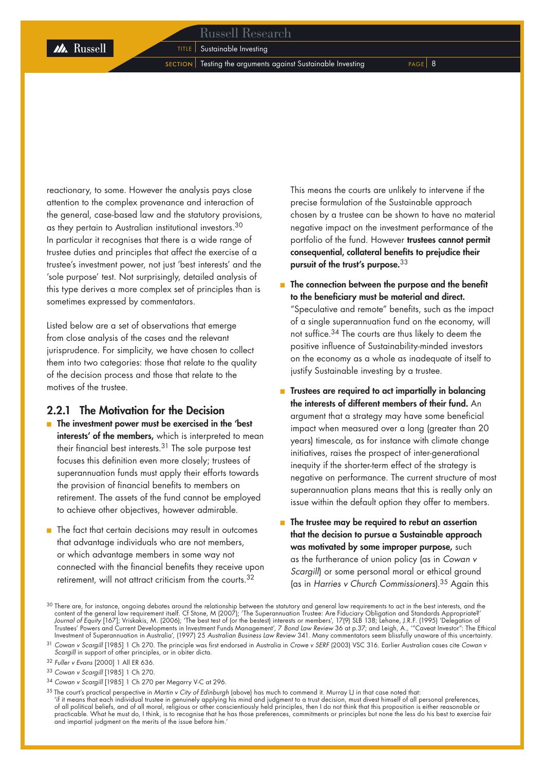**M** Russell

 $s$  ECTION Testing the arguments against Sustainable Investing  $s$  PAGE 8

reactionary, to some. However the analysis pays close attention to the complex provenance and interaction of the general, case-based law and the statutory provisions, as they pertain to Australian institutional investors.30 In particular it recognises that there is a wide range of trustee duties and principles that affect the exercise of a trustee's investment power, not just 'best interests' and the 'sole purpose' test. Not surprisingly, detailed analysis of this type derives a more complex set of principles than is sometimes expressed by commentators.

Listed below are a set of observations that emerge from close analysis of the cases and the relevant jurisprudence. For simplicity, we have chosen to collect them into two categories: those that relate to the quality of the decision process and those that relate to the motives of the trustee.

### 2.2.1 The Motivation for the Decision

- The investment power must be exercised in the 'best interests' of the members, which is interpreted to mean their financial best interests.31 The sole purpose test focuses this definition even more closely; trustees of superannuation funds must apply their efforts towards the provision of financial benefits to members on retirement. The assets of the fund cannot be employed to achieve other objectives, however admirable.
- The fact that certain decisions may result in outcomes that advantage individuals who are not members, or which advantage members in some way not connected with the financial benefits they receive upon retirement, will not attract criticism from the courts.<sup>32</sup>

This means the courts are unlikely to intervene if the precise formulation of the Sustainable approach chosen by a trustee can be shown to have no material negative impact on the investment performance of the portfolio of the fund. However trustees cannot permit consequential, collateral benefits to prejudice their pursuit of the trust's purpose. 33

■ The connection between the purpose and the benefit to the beneficiary must be material and direct.

"Speculative and remote" benefits, such as the impact of a single superannuation fund on the economy, will not suffice.34 The courts are thus likely to deem the positive influence of Sustainability-minded investors on the economy as a whole as inadequate of itself to justify Sustainable investing by a trustee.

- Trustees are required to act impartially in balancing the interests of different members of their fund. An argument that a strategy may have some beneficial impact when measured over a long (greater than 20 years) timescale, as for instance with climate change initiatives, raises the prospect of inter-generational inequity if the shorter-term effect of the strategy is negative on performance. The current structure of most superannuation plans means that this is really only an issue within the default option they offer to members. ■
- The trustee may be required to rebut an assertion that the decision to pursue a Sustainable approach was motivated by some improper purpose, such as the furtherance of union policy (as in *Cowan v Scargill*) or some personal moral or ethical ground (as in *Harries v Church Commissioners*).35 Again this

<sup>34</sup> *Cowan v Scargill* [1985] 1 Ch 270 per Megarry V-C at 296.

35 The court's practical perspective in *Martin v City of Edinburgh* (above) has much to commend it. Murray LJ in that case noted that: 'if it means that each individual trustee in genuinely applying his mind and judgment to a trust decision, must divest himself of all personal preferences, of all political beliefs, and of all moral, religious or other conscientiously held principles, then I do not think that this proposition is either reasonable or practicable. What he must do, I think, is to recognise that he has those preferences, commitments or principles but none the less do his best to exercise fair and impartial judament on the merits of the issue before him.

<sup>&</sup>lt;sup>30</sup> There are, for instance, ongoing debates around the relationship between the statutory and general law requirements to act in the best interests, and the content of the general law requirement itself. Cf Stone, M (2007); 'The Superannuation Trustee: Are Fiduciary Obligation and Standards Appropriate?'<br>Journal of Equity [167]; Vriskakis, M. (2006); 'The best test of (or the Trustees' Powers and Current Developments in Investment Funds Management', 7 *Bond Law Review* 36 at p.37; and Leigh, A., '"Caveat Investor": The Ethical Investment of Superannuation in Australia', (1997) 25 *Australian Business Law Review* 341. Many commentators seem blissfully unaware of this uncertainty.

<sup>31</sup> *Cowan v Scargill* [1985] 1 Ch 270. The principle was first endorsed in Australia in *Crowe v SERF* (2003) VSC 316. Earlier Australian cases cite *Cowan v Scargill* in support of other principles, or in obiter dicta.

<sup>32</sup> *Fuller v Evans* [2000] 1 All ER 636.

<sup>33</sup> *Cowan v Scargill* [1985] 1 Ch 270.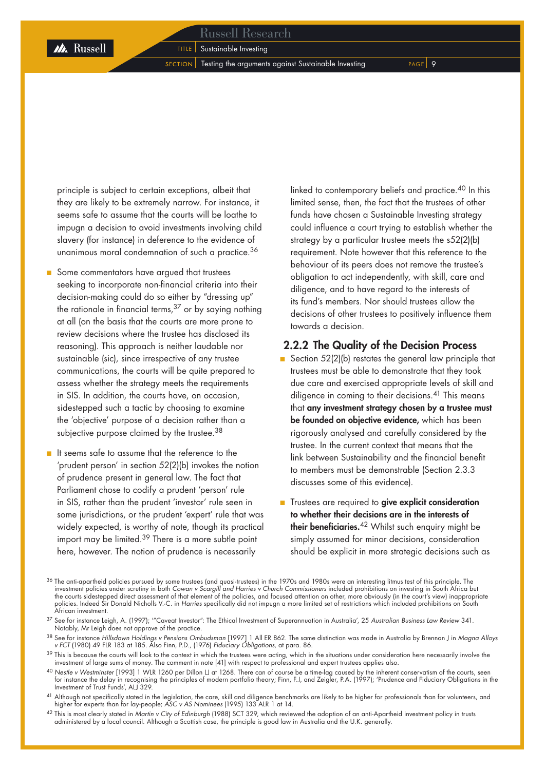$s$  SECTION Testing the arguments against Sustainable Investing  $s$  PAGE 9

principle is subject to certain exceptions, albeit that they are likely to be extremely narrow. For instance, it seems safe to assume that the courts will be loathe to impugn a decision to avoid investments involving child slavery (for instance) in deference to the evidence of unanimous moral condemnation of such a practice.<sup>36</sup>

- Some commentators have argued that trustees seeking to incorporate non-financial criteria into their decision-making could do so either by "dressing up" the rationale in financial terms, $37$  or by saying nothing at all (on the basis that the courts are more prone to review decisions where the trustee has disclosed its reasoning). This approach is neither laudable nor sustainable (sic), since irrespective of any trustee communications, the courts will be quite prepared to assess whether the strategy meets the requirements in SIS. In addition, the courts have, on occasion, sidestepped such a tactic by choosing to examine the 'objective' purpose of a decision rather than a subjective purpose claimed by the trustee.<sup>38</sup>
- It seems safe to assume that the reference to the 'prudent person' in section 52(2)(b) invokes the notion of prudence present in general law. The fact that Parliament chose to codify a prudent 'person' rule in SIS, rather than the prudent 'investor' rule seen in some jurisdictions, or the prudent 'expert' rule that was widely expected, is worthy of note, though its practical import may be limited.39 There is a more subtle point here, however. The notion of prudence is necessarily ■

linked to contemporary beliefs and practice.<sup>40</sup> In this limited sense, then, the fact that the trustees of other funds have chosen a Sustainable Investing strategy could influence a court trying to establish whether the strategy by a particular trustee meets the s52(2)(b) requirement. Note however that this reference to the behaviour of its peers does not remove the trustee's obligation to act independently, with skill, care and diligence, and to have regard to the interests of its fund's members. Nor should trustees allow the decisions of other trustees to positively influence them towards a decision.

### 2.2.2 The Quality of the Decision Process

- Section 52(2)(b) restates the general law principle that trustees must be able to demonstrate that they took due care and exercised appropriate levels of skill and diligence in coming to their decisions.<sup>41</sup> This means that any investment strategy chosen by a trustee must be founded on objective evidence, which has been rigorously analysed and carefully considered by the trustee. In the current context that means that the link between Sustainability and the financial benefit to members must be demonstrable (Section 2.3.3 discusses some of this evidence). ■
- Trustees are required to give explicit consideration to whether their decisions are in the interests of their beneficiaries.<sup>42</sup> Whilst such enquiry might be simply assumed for minor decisions, consideration should be explicit in more strategic decisions such as

 $^{36}$  The anti-apartheid policies pursued by some trustees (and quasi-trustees) in the 1970s and 1980s were an interesting litmus test of this principle. The investment policies under scrutiny in both *Cowan v Scargill and Harries v Church Commissioners* included prohibitions on investing in South Africa but the courts sidestepped direct assessment of that element of the policies, and focused attention on other, more obviously (in the court's view) inappropriate policies. Indeed Sir Donald Nicholls V.-C. in *Harries* specifically did not impugn a more limited set of restrictions which included prohibitions on South African investment.

<sup>37</sup> See for instance Leigh, A. (1997); '"Caveat Investor": The Ethical Investment of Superannuation in Australia', 25 *Australian Business Law Review* 341. Notably, Mr Leigh does not approve of the practice.

<sup>38</sup> See for instance *Hillsdown Holdings v Pensions Ombudsman* [1997] 1 All ER 862. The same distinction was made in Australia by Brennan J in *Magna Alloys v FCT* (1980) 49 FLR 183 at 185. Also Finn, P.D., (1976) *Fiduciary Obligations,* at para. 86.

<sup>&</sup>lt;sup>39</sup> This is because the courts will look to the context in which the trustees were acting, which in the situations under consideration here necessarily involve the investment of large sums of money. The comment in note [41] with respect to professional and expert trustees applies also.

<sup>40</sup> *Nestle v Westminster* [1993] 1 WLR 1260 per Dillon LJ at 1268. There can of course be a time-lag caused by the inherent conservatism of the courts, seen for instance the delay in recognising the principles of modern portfolio theory; Finn, F.J, and Zeigler, P.A. (1997); 'Prudence and Fiduciary Obligations in the Investment of Trust Funds', ALJ 329.

<sup>&</sup>lt;sup>41</sup> Although not specifically stated in the legislation, the care, skill and diligence benchmarks are likely to be higher for professionals than for volunteers, and higher for experts than for lay-people; *ASC v AS Nominees* (1995) 133 ALR 1 at 14.

<sup>42</sup> This is most clearly stated in *Martin v City of Edinburgh* (1988) SCT 329, which reviewed the adoption of an anti-Apartheid investment policy in trusts administered by a local council. Although a Scottish case, the principle is good law in Australia and the U.K. generally.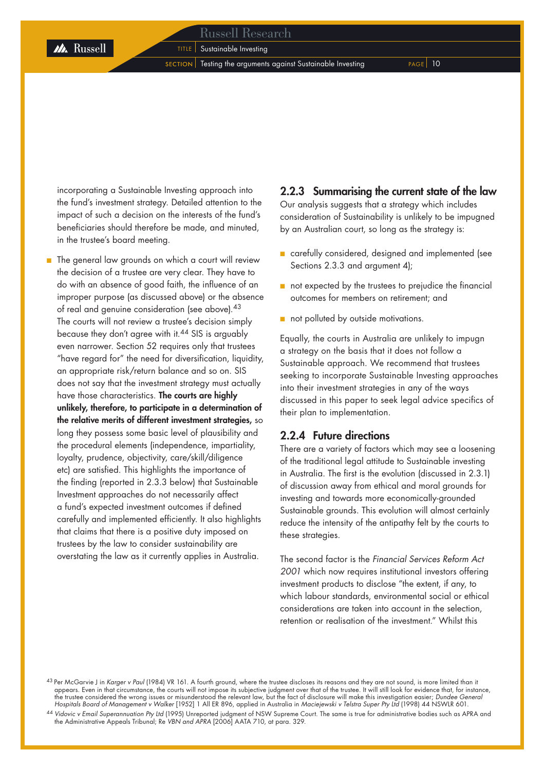### Russell Research

**TITLE** Sustainable Investing

 $s$  ECTION  $\vert$  Testing the arguments against Sustainable Investing PAGE 10

incorporating a Sustainable Investing approach into the fund's investment strategy. Detailed attention to the impact of such a decision on the interests of the fund's beneficiaries should therefore be made, and minuted, in the trustee's board meeting.

 $\blacksquare$  The general law grounds on which a court will review the decision of a trustee are very clear. They have to do with an absence of good faith, the influence of an improper purpose (as discussed above) or the absence of real and genuine consideration (see above).<sup>43</sup> The courts will not review a trustee's decision simply because they don't agree with it.44 SIS is arguably even narrower. Section 52 requires only that trustees "have regard for" the need for diversification, liquidity, an appropriate risk/return balance and so on. SIS does not say that the investment strategy must actually have those characteristics. The courts are highly unlikely, therefore, to participate in a determination of the relative merits of different investment strategies, so long they possess some basic level of plausibility and the procedural elements (independence, impartiality, loyalty, prudence, objectivity, care/skill/diligence etc) are satisfied. This highlights the importance of the finding (reported in 2.3.3 below) that Sustainable Investment approaches do not necessarily affect a fund's expected investment outcomes if defined carefully and implemented efficiently. It also highlights that claims that there is a positive duty imposed on trustees by the law to consider sustainability are overstating the law as it currently applies in Australia.

### 2.2.3 Summarising the current state of the law

Our analysis suggests that a strategy which includes consideration of Sustainability is unlikely to be impugned by an Australian court, so long as the strategy is:

- carefully considered, designed and implemented (see Sections 2.3.3 and argument 4);
- not expected by the trustees to prejudice the financial outcomes for members on retirement; and
- not polluted by outside motivations.

Equally, the courts in Australia are unlikely to impugn a strategy on the basis that it does not follow a Sustainable approach. We recommend that trustees seeking to incorporate Sustainable Investing approaches into their investment strategies in any of the ways discussed in this paper to seek legal advice specifics of their plan to implementation.

### 2.2.4 Future directions

There are a variety of factors which may see a loosening of the traditional legal attitude to Sustainable investing in Australia. The first is the evolution (discussed in 2.3.1) of discussion away from ethical and moral grounds for investing and towards more economically-grounded Sustainable grounds. This evolution will almost certainly reduce the intensity of the antipathy felt by the courts to these strategies.

The second factor is the *Financial Services Reform Act 2001* which now requires institutional investors offering investment products to disclose "the extent, if any, to which labour standards, environmental social or ethical considerations are taken into account in the selection, retention or realisation of the investment." Whilst this

<sup>44</sup> *Vidovic v Email Superannuation Pty Ltd* (1995) Unreported judgment of NSW Supreme Court. The same is true for administrative bodies such as APRA and the Administrative Appeals Tribunal; Re *VBN and APRA* [2006] AATA 710, at para. 329.

<sup>43</sup> Per McGarvie J in *Karger v Paul* (1984) VR 161. A fourth ground, where the trustee discloses its reasons and they are not sound, is more limited than it appears. Even in that circumstance, the courts will not impose its subjective judgment over that of the trustee. It will still look for evidence that, for instance, the trustee considered the wrong issues or misunderstood the relevant law, but the fact of disclosure will make this investigation easier; *Dundee General Hospitals Board of Management v Walker* [1952] 1 All ER 896, applied in Australia in *Maciejewski v Telstra Super Pty Ltd* (1998) 44 NSWLR 601.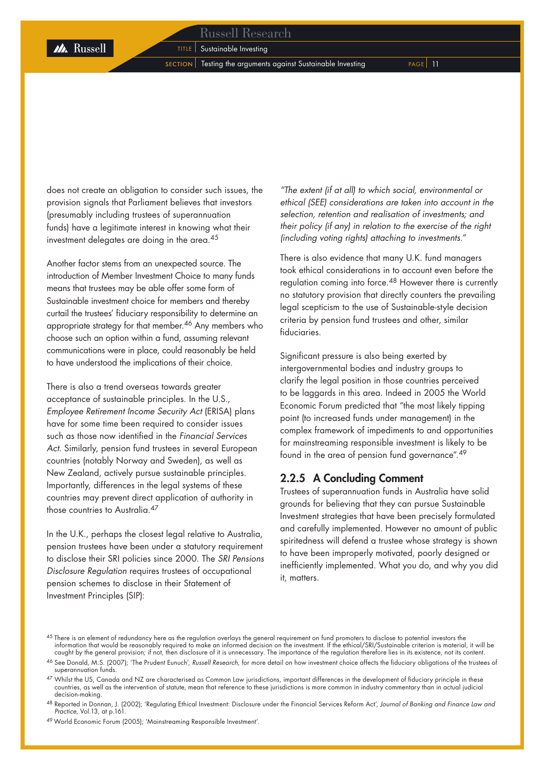**M** Russell

 $s$  ECTION Testing the arguments against Sustainable Investing  $s$  PAGE 11

does not create an obligation to consider such issues, the provision signals that Parliament believes that investors (presumably including trustees of superannuation funds) have a legitimate interest in knowing what their investment delegates are doing in the area.<sup>45</sup>

Another factor stems from an unexpected source. The introduction of Member Investment Choice to many funds means that trustees may be able offer some form of Sustainable investment choice for members and thereby curtail the trustees' fiduciary responsibility to determine an appropriate strategy for that member.46 Any members who choose such an option within a fund, assuming relevant communications were in place, could reasonably be held to have understood the implications of their choice.

There is also a trend overseas towards greater acceptance of sustainable principles. In the U.S., *Employee Retirement Income Security Act* (ERISA) plans have for some time been required to consider issues such as those now identified in the *Financial Services Act.* Similarly, pension fund trustees in several European countries (notably Norway and Sweden), as well as New Zealand, actively pursue sustainable principles. Importantly, differences in the legal systems of these countries may prevent direct application of authority in those countries to Australia.<sup>47</sup>

In the U.K., perhaps the closest legal relative to Australia, pension trustees have been under a statutory requirement to disclose their SRI policies since 2000. The *SRI Pensions Disclosure Regulation* requires trustees of occupational pension schemes to disclose in their Statement of Investment Principles (SIP):

*"The extent (if at all) to which social, environmental or ethical (SEE) considerations are taken into account in the selection, retention and realisation of investments; and their policy (if any) in relation to the exercise of the right (including voting rights) attaching to investments."* 

There is also evidence that many U.K. fund managers took ethical considerations in to account even before the regulation coming into force.<sup>48</sup> However there is currently no statutory provision that directly counters the prevailing legal scepticism to the use of Sustainable-style decision criteria by pension fund trustees and other, similar fiduciaries.

Significant pressure is also being exerted by intergovernmental bodies and industry groups to clarify the legal position in those countries perceived to be laggards in this area. Indeed in 2005 the World Economic Forum predicted that "the most likely tipping point (to increased funds under management) in the complex framework of impediments to and opportunities for mainstreaming responsible investment is likely to be found in the area of pension fund governance".<sup>49</sup>

### 2.2.5 A Concluding Comment

Trustees of superannuation funds in Australia have solid grounds for believing that they can pursue Sustainable Investment strategies that have been precisely formulated and carefully implemented. However no amount of public spiritedness will defend a trustee whose strategy is shown to have been improperly motivated, poorly designed or inefficiently implemented. What you do, and why you did it, matters.

<sup>45</sup> There is an element of redundancy here as the regulation overlays the general requirement on fund promoters to disclose to potential investors the information that would be reasonably required to make an informed decision on the investment. If the ethical/SRI/Sustainable criterion is material, it will be<br>caught by the general provision; if not, then disclosure of it

<sup>46</sup> See Donald, M.S. (2007); 'The Prudent Eunuch', *Russell Research,* for more detail on how investment choice affects the fiduciary obligations of the trustees of superannuation funds.

<sup>&</sup>lt;sup>47</sup> Whilst the US, Canada and NZ are characterised as Common Law jurisdictions, important differences in the development of fiduciary principle in these countries, as well as the intervention of statute, mean that reference to these jurisdictions is more common in industry commentary than in actual judicial decision-making.

<sup>48</sup> Reported in Donnan, J. (2002); 'Regulating Ethical Investment: Disclosure under the Financial Services Reform Act', *Journal of Banking and Finance Law and Practice,* Vol.13, at p.161.

<sup>&</sup>lt;sup>49</sup> World Economic Forum (2005); 'Mainstreaming Responsible Investment'.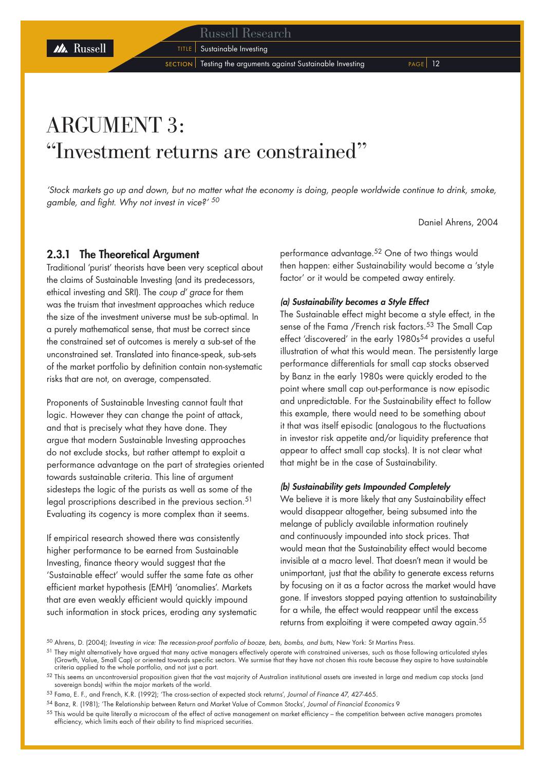### Russell Research

**TITLE** Sustainable Investing

 $s$  ECTION  $\vert$  Testing the arguments against Sustainable Investing PAGE 12

## ARGUMENT 3: "Investment returns are constrained"

*'Stock markets go up and down, but no matter what the economy is doing, people worldwide continue to drink, smoke, gamble, and fight. Why not invest in vice?' <sup>50</sup>*

Daniel Ahrens, 2004

### 2.3.1 The Theoretical Argument

Traditional 'purist' theorists have been very sceptical about the claims of Sustainable Investing (and its predecessors, ethical investing and SRI). The *coup d' grace* for them was the truism that investment approaches which reduce the size of the investment universe must be sub-optimal. In a purely mathematical sense, that must be correct since the constrained set of outcomes is merely a sub-set of the unconstrained set. Translated into finance-speak, sub-sets of the market portfolio by definition contain non-systematic risks that are not, on average, compensated.

Proponents of Sustainable Investing cannot fault that logic. However they can change the point of attack, and that is precisely what they have done. They argue that modern Sustainable Investing approaches do not exclude stocks, but rather attempt to exploit a performance advantage on the part of strategies oriented towards sustainable criteria. This line of argument sidesteps the logic of the purists as well as some of the legal proscriptions described in the previous section.<sup>51</sup> Evaluating its cogency is more complex than it seems.

If empirical research showed there was consistently higher performance to be earned from Sustainable Investing, finance theory would suggest that the 'Sustainable effect' would suffer the same fate as other efficient market hypothesis (EMH) 'anomalies'. Markets that are even weakly efficient would quickly impound such information in stock prices, eroding any systematic performance advantage.<sup>52</sup> One of two things would then happen: either Sustainability would become a 'style factor' or it would be competed away entirely.

### *(a) Sustainability becomes a Style Effect*

The Sustainable effect might become a style effect, in the sense of the Fama /French risk factors.<sup>53</sup> The Small Cap effect 'discovered' in the early  $1980s^{54}$  provides a useful illustration of what this would mean. The persistently large performance differentials for small cap stocks observed by Banz in the early 1980s were quickly eroded to the point where small cap out-performance is now episodic and unpredictable. For the Sustainability effect to follow this example, there would need to be something about it that was itself episodic (analogous to the fluctuations in investor risk appetite and/or liquidity preference that appear to affect small cap stocks). It is not clear what that might be in the case of Sustainability.

### *(b) Sustainability gets Impounded Completely*

We believe it is more likely that any Sustainability effect would disappear altogether, being subsumed into the melange of publicly available information routinely and continuously impounded into stock prices. That would mean that the Sustainability effect would become invisible at a macro level. That doesn't mean it would be unimportant, just that the ability to generate excess returns by focusing on it as a factor across the market would have gone. If investors stopped paying attention to sustainability for a while, the effect would reappear until the excess returns from exploiting it were competed away again.<sup>55</sup>

<sup>53</sup> Fama, E. F., and French, K.R. (1992); 'The cross-section of expected stock returns', *Journal of Finance* 47, 427-465.

<sup>50</sup> Ahrens, D. (2004); *Investing in vice: The recession-proof portfolio of booze, bets, bombs, and butts,* New York: St Martins Press.

<sup>&</sup>lt;sup>51</sup> They might alternatively have argued that many active managers effectively operate with constrained universes, such as those following articulated styles (Growth, Value, Small Cap) or oriented towards specific sectors. We surmise that they have not chosen this route because they aspire to have sustainable criteria applied to the whole portfolio, and not just a part.

 $52$  This seems an uncontroversial proposition given that the vast majority of Australian institutional assets are invested in large and medium cap stocks (and sovereign bonds) within the major markets of the world.

<sup>54</sup> Banz, R. (1981); 'The Relationship between Return and Market Value of Common Stocks', *Journal of Financial Economics* 9

 $55$  This would be quite literally a microcosm of the effect of active management on market efficiency – the competition between active managers promotes efficiency, which limits each of their ability to find mispriced securities.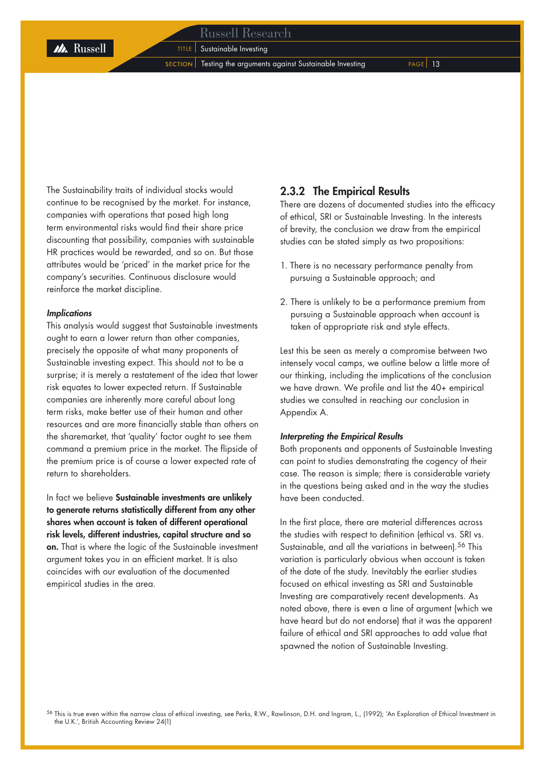### Russell Research

**TITLE** Sustainable Investing

 $S_{\text{ECTION}}$  Testing the arguments against Sustainable Investing  $P_{\text{AGE}}$  13

The Sustainability traits of individual stocks would continue to be recognised by the market. For instance, companies with operations that posed high long term environmental risks would find their share price discounting that possibility, companies with sustainable HR practices would be rewarded, and so on. But those attributes would be 'priced' in the market price for the company's securities. Continuous disclosure would reinforce the market discipline.

### *Implications*

This analysis would suggest that Sustainable investments ought to earn a lower return than other companies, precisely the opposite of what many proponents of Sustainable investing expect. This should not to be a surprise; it is merely a restatement of the idea that lower risk equates to lower expected return. If Sustainable companies are inherently more careful about long term risks, make better use of their human and other resources and are more financially stable than others on the sharemarket, that 'quality' factor ought to see them command a premium price in the market. The flipside of the premium price is of course a lower expected rate of return to shareholders.

In fact we believe Sustainable investments are unlikely to generate returns statistically different from any other shares when account is taken of different operational risk levels, different industries, capital structure and so on. That is where the logic of the Sustainable investment argument takes you in an efficient market. It is also coincides with our evaluation of the documented empirical studies in the area.

### 2.3.2 The Empirical Results

There are dozens of documented studies into the efficacy of ethical, SRI or Sustainable Investing. In the interests of brevity, the conclusion we draw from the empirical studies can be stated simply as two propositions:

- 1. There is no necessary performance penalty from pursuing a Sustainable approach; and
- 2. There is unlikely to be a performance premium from pursuing a Sustainable approach when account is taken of appropriate risk and style effects.

Lest this be seen as merely a compromise between two intensely vocal camps, we outline below a little more of our thinking, including the implications of the conclusion we have drawn. We profile and list the 40+ empirical studies we consulted in reaching our conclusion in Appendix A.

### *Interpreting the Empirical Results*

Both proponents and opponents of Sustainable Investing can point to studies demonstrating the cogency of their case. The reason is simple; there is considerable variety in the questions being asked and in the way the studies have been conducted.

In the first place, there are material differences across the studies with respect to definition (ethical vs. SRI vs. Sustainable, and all the variations in between).<sup>56</sup> This variation is particularly obvious when account is taken of the date of the study. Inevitably the earlier studies focused on ethical investing as SRI and Sustainable Investing are comparatively recent developments. As noted above, there is even a line of argument (which we have heard but do not endorse) that it was the apparent failure of ethical and SRI approaches to add value that spawned the notion of Sustainable Investing.

<sup>56</sup> This is true even within the narrow class of ethical investing, see Perks, R.W., Rawlinson, D.H. and Ingram, L., (1992); 'An Exploration of Ethical Investment in the U.K.', British Accounting Review 24(1)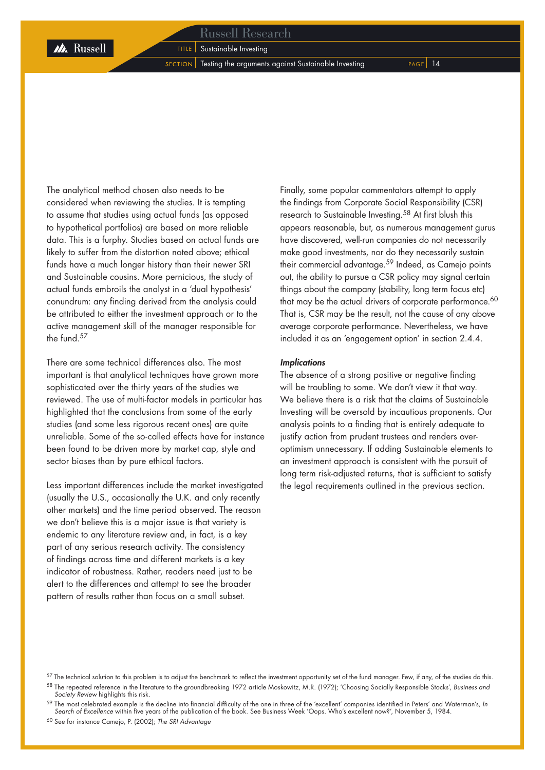M. Russell

 $S$  SECTION Testing the arguments against Sustainable Investing  $P_{AGE}$  14

The analytical method chosen also needs to be considered when reviewing the studies. It is tempting to assume that studies using actual funds (as opposed to hypothetical portfolios) are based on more reliable data. This is a furphy. Studies based on actual funds are likely to suffer from the distortion noted above; ethical funds have a much longer history than their newer SRI and Sustainable cousins. More pernicious, the study of actual funds embroils the analyst in a 'dual hypothesis' conundrum: any finding derived from the analysis could be attributed to either the investment approach or to the active management skill of the manager responsible for the fund  $57$ 

There are some technical differences also. The most important is that analytical techniques have grown more sophisticated over the thirty years of the studies we reviewed. The use of multi-factor models in particular has highlighted that the conclusions from some of the early studies (and some less rigorous recent ones) are quite unreliable. Some of the so-called effects have for instance been found to be driven more by market cap, style and sector biases than by pure ethical factors.

Less important differences include the market investigated (usually the U.S., occasionally the U.K. and only recently other markets) and the time period observed. The reason we don't believe this is a major issue is that variety is endemic to any literature review and, in fact, is a key part of any serious research activity. The consistency of findings across time and different markets is a key indicator of robustness. Rather, readers need just to be alert to the differences and attempt to see the broader pattern of results rather than focus on a small subset.

Finally, some popular commentators attempt to apply the findings from Corporate Social Responsibility (CSR) research to Sustainable Investing.58 At first blush this appears reasonable, but, as numerous management gurus have discovered, well-run companies do not necessarily make good investments, nor do they necessarily sustain their commercial advantage.<sup>59</sup> Indeed, as Camejo points out, the ability to pursue a CSR policy may signal certain things about the company (stability, long term focus etc) that may be the actual drivers of corporate performance.<sup>60</sup> That is, CSR may be the result, not the cause of any above average corporate performance. Nevertheless, we have included it as an 'engagement option' in section 2.4.4.

### *Implications*

The absence of a strong positive or negative finding will be troubling to some. We don't view it that way. We believe there is a risk that the claims of Sustainable Investing will be oversold by incautious proponents. Our analysis points to a finding that is entirely adequate to justify action from prudent trustees and renders overoptimism unnecessary. If adding Sustainable elements to an investment approach is consistent with the pursuit of long term risk-adjusted returns, that is sufficient to satisfy the legal requirements outlined in the previous section.

 $57$  The technical solution to this problem is to adjust the benchmark to reflect the investment opportunity set of the fund manager. Few, if any, of the studies do this. <sup>58</sup> The repeated reference in the literature to the groundbreaking 1972 article Moskowitz, M.R. (1972); 'Choosing Socially Responsible Stocks', *Business and Society Review* highlights this risk.

<sup>59</sup> The most celebrated example is the decline into financial difficulty of the one in three of the 'excellent' companies identified in Peters' and Waterman's, *In Search of Excellence* within five years of the publication of the book. See Business Week 'Oops. Who's excellent now?', November 5, 1984.

<sup>60</sup> See for instance Camejo, P. (2002); *The SRI Advantage*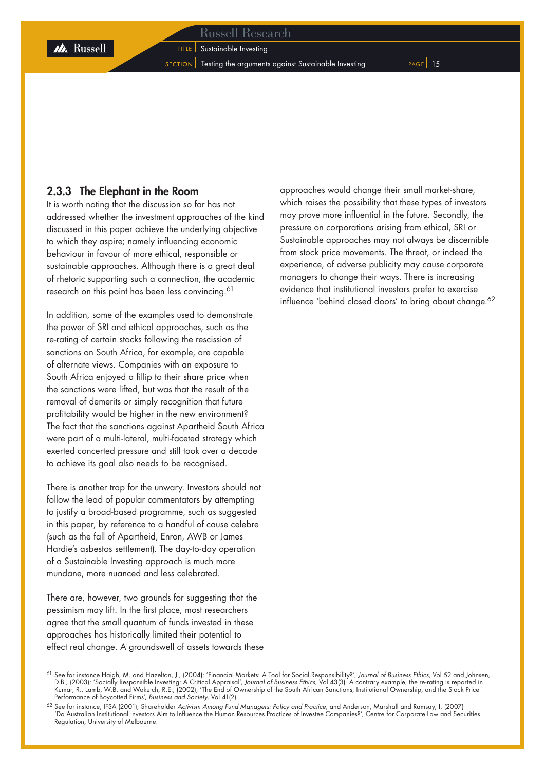### Russell Research

**TITLE** Sustainable Investing

 $S$  SECTION Testing the arguments against Sustainable Investing  $P_{AGE}$  15

### 2.3.3 The Elephant in the Room

It is worth noting that the discussion so far has not addressed whether the investment approaches of the kind discussed in this paper achieve the underlying objective to which they aspire; namely influencing economic behaviour in favour of more ethical, responsible or sustainable approaches. Although there is a great deal of rhetoric supporting such a connection, the academic research on this point has been less convincing.<sup>61</sup>

In addition, some of the examples used to demonstrate the power of SRI and ethical approaches, such as the re-rating of certain stocks following the rescission of sanctions on South Africa, for example, are capable of alternate views. Companies with an exposure to South Africa enjoyed a fillip to their share price when the sanctions were lifted, but was that the result of the removal of demerits or simply recognition that future profitability would be higher in the new environment? The fact that the sanctions against Apartheid South Africa were part of a multi-lateral, multi-faceted strategy which exerted concerted pressure and still took over a decade to achieve its goal also needs to be recognised.

There is another trap for the unwary. Investors should not follow the lead of popular commentators by attempting to justify a broad-based programme, such as suggested in this paper, by reference to a handful of cause celebre (such as the fall of Apartheid, Enron, AWB or James Hardie's asbestos settlement). The day-to-day operation of a Sustainable Investing approach is much more mundane, more nuanced and less celebrated.

There are, however, two arounds for suggesting that the pessimism may lift. In the first place, most researchers agree that the small quantum of funds invested in these approaches has historically limited their potential to effect real change. A groundswell of assets towards these approaches would change their small market-share, which raises the possibility that these types of investors may prove more influential in the future. Secondly, the pressure on corporations arising from ethical, SRI or Sustainable approaches may not always be discernible from stock price movements. The threat, or indeed the experience, of adverse publicity may cause corporate managers to change their ways. There is increasing evidence that institutional investors prefer to exercise influence 'behind closed doors' to bring about change.<sup>62</sup>

<sup>61</sup> See for instance Haigh, M. and Hazelton, J., (2004); 'Financial Markets: A Tool for Social Responsibility?', *Journal of Business Ethics,* Vol 52 and Johnsen, D.B., (2003); 'Socially Responsible Investing: A Critical Appraisal', *Journal of Business Ethics,* Vol 43(3). A contrary example, the re-rating is reported in Kumar, R., Lamb, W.B. and Wokutch, R.E., (2002); 'The End of Ownership of the South African Sanctions, Institutional Ownership, and the Stock Price Performance of Boycotted Firms', *Business and Society,* Vol 41(2).

<sup>62</sup> See for instance, IFSA (2001); Shareholder *Activism Among Fund Managers: Policy and Practice,* and Anderson, Marshall and Ramsay, I. (2007) 'Do Australian Institutional Investors Aim to Influence the Human Resources Practices of Investee Companies?', Centre for Corporate Law and Securities Regulation, University of Melbourne.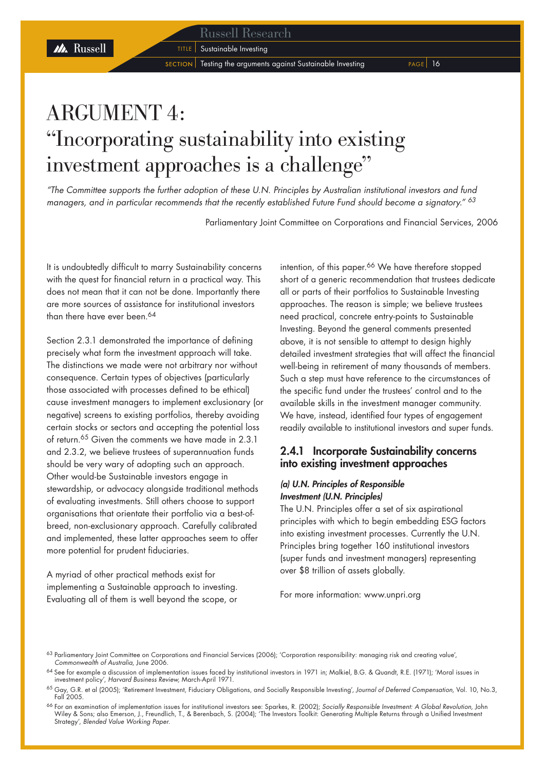**TITLE** Sustainable Investing

 $S$  SECTION Testing the arguments against Sustainable Investing  $P_{AGE}$  16

## ARGUMENT 4: "Incorporating sustainability into existing investment approaches is a challenge"

*"The Committee supports the further adoption of these U.N. Principles by Australian institutional investors and fund managers, and in particular recommends that the recently established Future Fund should become a signatory." <sup>63</sup>*

Parliamentary Joint Committee on Corporations and Financial Services, 2006

It is undoubtedly difficult to marry Sustainability concerns with the quest for financial return in a practical way. This does not mean that it can not be done. Importantly there are more sources of assistance for institutional investors than there have ever been.<sup>64</sup>

M Russell

Section 2.3.1 demonstrated the importance of defining precisely what form the investment approach will take. The distinctions we made were not arbitrary nor without consequence. Certain types of objectives (particularly those associated with processes defined to be ethical) cause investment managers to implement exclusionary (or negative) screens to existing portfolios, thereby avoiding certain stocks or sectors and accepting the potential loss of return.65 Given the comments we have made in 2.3.1 and 2.3.2, we believe trustees of superannuation funds should be very wary of adopting such an approach. Other would-be Sustainable investors engage in stewardship, or advocacy alongside traditional methods of evaluating investments. Still others choose to support organisations that orientate their portfolio via a best-ofbreed, non-exclusionary approach. Carefully calibrated and implemented, these latter approaches seem to offer more potential for prudent fiduciaries.

A myriad of other practical methods exist for implementing a Sustainable approach to investing. Evaluating all of them is well beyond the scope, or intention, of this paper.<sup>66</sup> We have therefore stopped short of a generic recommendation that trustees dedicate all or parts of their portfolios to Sustainable Investing approaches. The reason is simple; we believe trustees need practical, concrete entry-points to Sustainable Investing. Beyond the general comments presented above, it is not sensible to attempt to design highly detailed investment strategies that will affect the financial well-being in retirement of many thousands of members. Such a step must have reference to the circumstances of the specific fund under the trustees' control and to the available skills in the investment manager community. We have, instead, identified four types of engagement readily available to institutional investors and super funds.

### 2.4.1 Incorporate Sustainability concerns into existing investment approaches

### *(a) U.N. Principles of Responsible Investment (U.N. Principles)*

The U.N. Principles offer a set of six aspirational principles with which to begin embedding ESG factors into existing investment processes. Currently the U.N. Principles bring together 160 institutional investors (super funds and investment managers) representing over \$8 trillion of assets globally.

For more information: www.unpri.org

<sup>63</sup> Parliamentary Joint Committee on Corporations and Financial Services (2006); 'Corporation responsibility: managing risk and creating value', *Commonwealth of Australia,* June 2006.

<sup>64</sup> See for example a discussion of implementation issues faced by institutional investors in 1971 in; Malkiel, B.G. & Quandt, R.E. (1971); 'Moral issues in investment policy', *Harvard Business Review,* March-April 1971.

<sup>65</sup> Gay, G.R. et al (2005); 'Retirement Investment, Fiduciary Obligations, and Socially Responsible Investing', *Journal of Deferred Compensation,* Vol. 10, No.3, Fall 2005.

<sup>66</sup> For an examination of implementation issues for institutional investors see: Sparkes, R. (2002); *Socially Responsible Investment: A Global Revolution,* John Wiley & Sons; also Emerson, J., Freundlich, T., & Berenbach, S. (2004); 'The Investors Toolkit: Generating Multiple Returns through a Unified Investment Strategy', *Blended Value Working Paper.*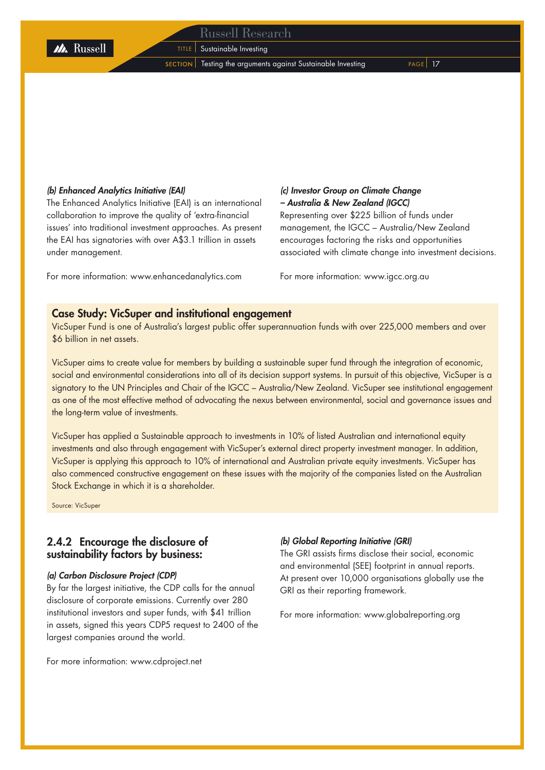**TITLE** Sustainable Investing

**M** Russell

SECTION | Testing the arguments against Sustainable Investing PAGE | 17

### *(b) Enhanced Analytics Initiative (EAI)*

The Enhanced Analytics Initiative (EAI) is an international collaboration to improve the quality of 'extra-financial issues' into traditional investment approaches. As present the EAI has signatories with over A\$3.1 trillion in assets under management.

For more information: www.enhancedanalytics.com

### *(c) Investor Group on Climate Change – Australia & New Zealand (IGCC)*

Representing over \$225 billion of funds under management, the IGCC – Australia/New Zealand encourages factoring the risks and opportunities associated with climate change into investment decisions.

For more information: www.igcc.org.au

### Case Study: VicSuper and institutional engagement

VicSuper Fund is one of Australia's largest public offer superannuation funds with over 225,000 members and over \$6 billion in net assets.

VicSuper aims to create value for members by building a sustainable super fund through the integration of economic, social and environmental considerations into all of its decision support systems. In pursuit of this objective, VicSuper is a signatory to the UN Principles and Chair of the IGCC – Australia/New Zealand. VicSuper see institutional engagement as one of the most effective method of advocating the nexus between environmental, social and governance issues and the long-term value of investments.

VicSuper has applied a Sustainable approach to investments in 10% of listed Australian and international equity investments and also through engagement with VicSuper's external direct property investment manager. In addition, VicSuper is applying this approach to 10% of international and Australian private equity investments. VicSuper has also commenced constructive engagement on these issues with the majority of the companies listed on the Australian Stock Exchange in which it is a shareholder.

Source: VicSuper

### 2.4.2 Encourage the disclosure of sustainability factors by business:

### *(a) Carbon Disclosure Project (CDP)*

By far the largest initiative, the CDP calls for the annual disclosure of corporate emissions. Currently over 280 institutional investors and super funds, with \$41 trillion in assets, signed this years CDP5 request to 2400 of the largest companies around the world.

For more information: www.cdproject.net

### *(b) Global Reporting Initiative (GRI)*

The GRI assists firms disclose their social, economic and environmental (SEE) footprint in annual reports. At present over 10,000 organisations globally use the GRI as their reporting framework.

For more information: www.globalreporting.org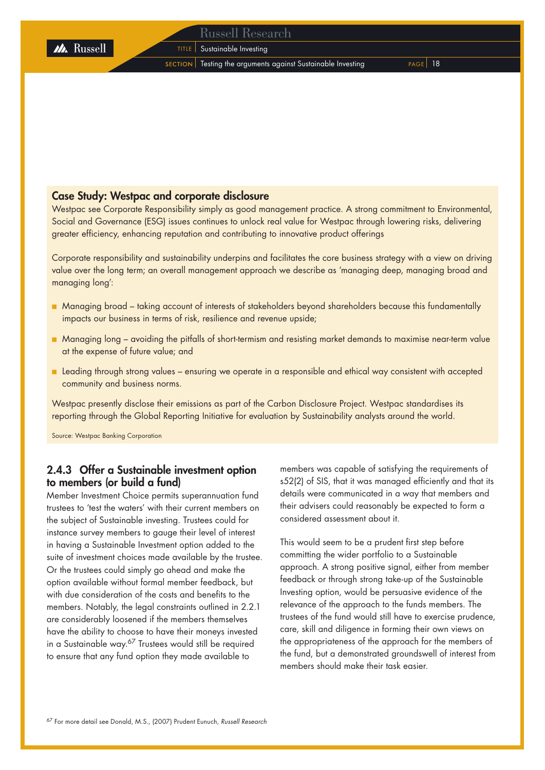### Case Study: Westpac and corporate disclosure

Westpac see Corporate Responsibility simply as good management practice. A strong commitment to Environmental, Social and Governance (ESG) issues continues to unlock real value for Westpac through lowering risks, delivering greater efficiency, enhancing reputation and contributing to innovative product offerings

Corporate responsibility and sustainability underpins and facilitates the core business strategy with a view on driving value over the long term; an overall management approach we describe as 'managing deep, managing broad and managing long':

- Managing broad taking account of interests of stakeholders beyond shareholders because this fundamentally impacts our business in terms of risk, resilience and revenue upside;
- Managing long avoiding the pitfalls of short-termism and resisting market demands to maximise near-term value at the expense of future value; and
- Leading through strong values ensuring we operate in a responsible and ethical way consistent with accepted community and business norms.

Westpac presently disclose their emissions as part of the Carbon Disclosure Project. Westpac standardises its reporting through the Global Reporting Initiative for evaluation by Sustainability analysts around the world.

Source: Westpac Banking Corporation

**M** Russell

### 2.4.3 Offer a Sustainable investment option to members (or build a fund)

Member Investment Choice permits superannuation fund trustees to 'test the waters' with their current members on the subject of Sustainable investing. Trustees could for instance survey members to gauge their level of interest in having a Sustainable Investment option added to the suite of investment choices made available by the trustee. Or the trustees could simply go ahead and make the option available without formal member feedback, but with due consideration of the costs and benefits to the members. Notably, the legal constraints outlined in 2.2.1 are considerably loosened if the members themselves have the ability to choose to have their moneys invested in a Sustainable way.<sup>67</sup> Trustees would still be required to ensure that any fund option they made available to

members was capable of satisfying the requirements of s52(2) of SIS, that it was managed efficiently and that its details were communicated in a way that members and their advisers could reasonably be expected to form a considered assessment about it.

This would seem to be a prudent first step before committing the wider portfolio to a Sustainable approach. A strong positive signal, either from member feedback or through strong take-up of the Sustainable Investing option, would be persuasive evidence of the relevance of the approach to the funds members. The trustees of the fund would still have to exercise prudence, care, skill and diligence in forming their own views on the appropriateness of the approach for the members of the fund, but a demonstrated groundswell of interest from members should make their task easier.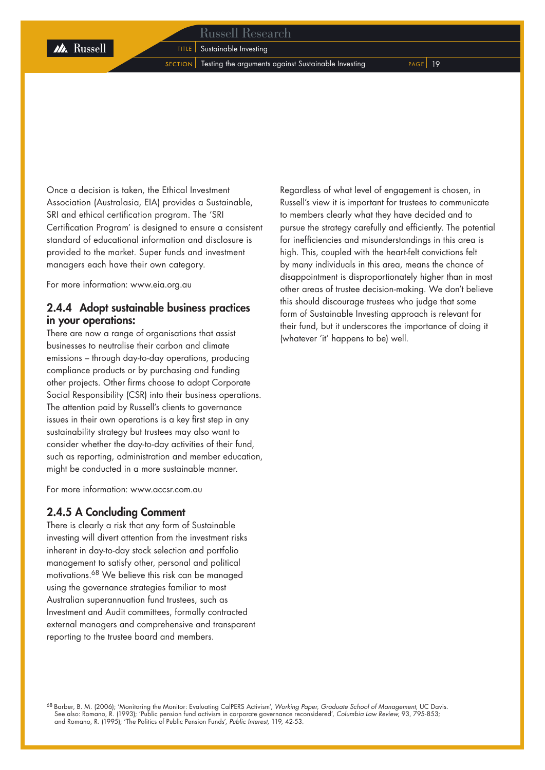**TITLE** Sustainable Investing

M Russell

 $S_{\text{ECTION}}$  Testing the arguments against Sustainable Investing  $P_{\text{AGE}}$  19

Once a decision is taken, the Ethical Investment Association (Australasia, EIA) provides a Sustainable, SRI and ethical certification program. The 'SRI Certification Program' is designed to ensure a consistent standard of educational information and disclosure is provided to the market. Super funds and investment managers each have their own category.

For more information: www.eia.org.au

### 2.4.4 Adopt sustainable business practices in your operations:

There are now a range of organisations that assist businesses to neutralise their carbon and climate emissions – through day-to-day operations, producing compliance products or by purchasing and funding other projects. Other firms choose to adopt Corporate Social Responsibility (CSR) into their business operations. The attention paid by Russell's clients to governance issues in their own operations is a key first step in any sustainability strategy but trustees may also want to consider whether the day-to-day activities of their fund, such as reporting, administration and member education, might be conducted in a more sustainable manner.

For more information: www.accsr.com.au

### 2.4.5 A Concluding Comment

There is clearly a risk that any form of Sustainable investing will divert attention from the investment risks inherent in day-to-day stock selection and portfolio management to satisfy other, personal and political motivations.68 We believe this risk can be managed using the governance strategies familiar to most Australian superannuation fund trustees, such as Investment and Audit committees, formally contracted external managers and comprehensive and transparent reporting to the trustee board and members.

Regardless of what level of engagement is chosen, in Russell's view it is important for trustees to communicate to members clearly what they have decided and to pursue the strategy carefully and efficiently. The potential for inefficiencies and misunderstandings in this area is high. This, coupled with the heart-felt convictions felt by many individuals in this area, means the chance of disappointment is disproportionately higher than in most other areas of trustee decision-making. We don't believe this should discourage trustees who judge that some form of Sustainable Investing approach is relevant for their fund, but it underscores the importance of doing it (whatever 'it' happens to be) well.

68 Barber, B. M. (2006); 'Monitoring the Monitor: Evaluating CalPERS Activism', *Working Paper, Graduate School of Management,* UC Davis. See also: Romano, R. (1993); 'Public pension fund activism in corporate governance reconsidered', *Columbia Law Review,* 93, 795-853; and Romano, R. (1995); 'The Politics of Public Pension Funds', *Public Interest,* 119, 42-53.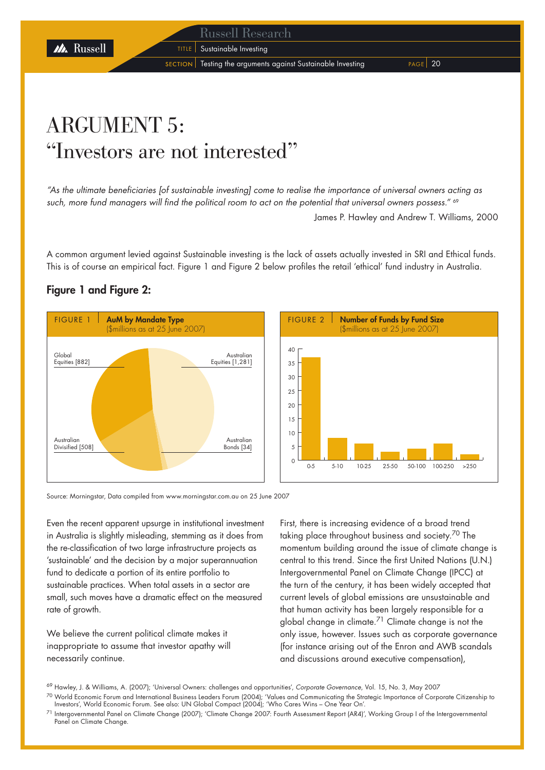**TITLE** Sustainable Investing

M Russell

 $s$  SECTION Testing the arguments against Sustainable Investing  $s$  PAGE 20

## ARGUMENT 5: "Investors are not interested"

*"As the ultimate beneficiaries [of sustainable investing] come to realise the importance of universal owners acting as such, more fund managers will find the political room to act on the potential that universal owners possess."* <sup>69</sup> James P. Hawley and Andrew T. Williams, 2000

A common argument levied against Sustainable investing is the lack of assets actually invested in SRI and Ethical funds. This is of course an empirical fact. Figure 1 and Figure 2 below profiles the retail 'ethical' fund industry in Australia.

### Figure 1 and Figure 2:



Source: Morningstar, Data compiled from www.morningstar.com.au on 25 June 2007

Even the recent apparent upsurge in institutional investment in Australia is slightly misleading, stemming as it does from the re-classification of two large infrastructure projects as 'sustainable' and the decision by a major superannuation fund to dedicate a portion of its entire portfolio to sustainable practices. When total assets in a sector are small, such moves have a dramatic effect on the measured rate of growth.

We believe the current political climate makes it inappropriate to assume that investor apathy will necessarily continue.

First, there is increasing evidence of a broad trend taking place throughout business and society.<sup>70</sup> The momentum building around the issue of climate change is central to this trend. Since the first United Nations (U.N.) Intergovernmental Panel on Climate Change (IPCC) at the turn of the century, it has been widely accepted that current levels of global emissions are unsustainable and that human activity has been largely responsible for a global change in climate.<sup>71</sup> Climate change is not the only issue, however. Issues such as corporate governance (for instance arising out of the Enron and AWB scandals and discussions around executive compensation),

<sup>69</sup> Hawley, J. & Williams, A. (2007); 'Universal Owners: challenges and opportunities', *Corporate Governance*, Vol. 15, No. 3, May 2007

<sup>70</sup> World Economic Forum and International Business Leaders Forum (2004); 'Values and Communicating the Strategic Importance of Corporate Citizenship to Investors', World Economic Forum. See also: UN Global Compact (2004); 'Who Cares Wins – One Year On'.

<sup>71</sup> Intergovernmental Panel on Climate Change (2007); 'Climate Change 2007: Fourth Assessment Report (AR4)', Working Group I of the Intergovernmental Panel on Climate Change.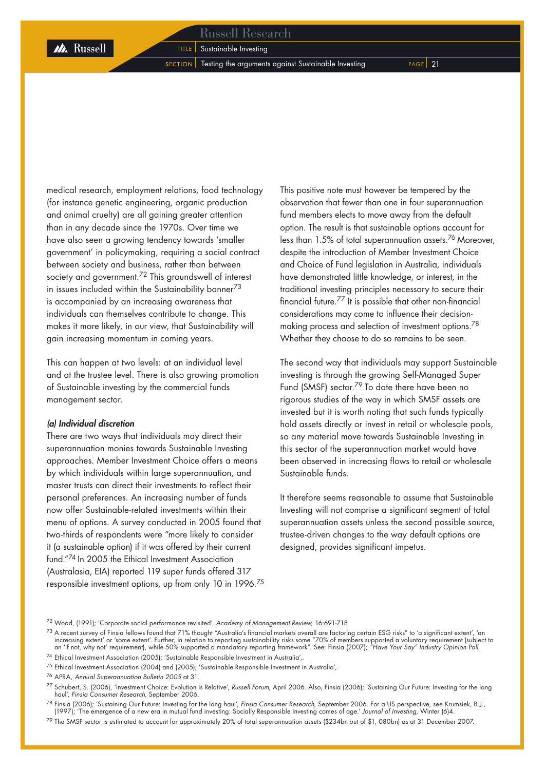**M** Russell

 $S$  ECTION Testing the arguments against Sustainable Investing  $P_{AGE}$  21

medical research, employment relations, food technology (for instance genetic engineering, organic production and animal cruelty) are all gaining greater attention than in any decade since the 1970s. Over time we have also seen a growing tendency towards 'smaller government' in policymaking, requiring a social contract between society and business, rather than between society and government.<sup>72</sup> This groundswell of interest in issues included within the Sustainability banner $73$ is accompanied by an increasing awareness that individuals can themselves contribute to change. This makes it more likely, in our view, that Sustainability will gain increasing momentum in coming years.

This can happen at two levels: at an individual level and at the trustee level. There is also growing promotion of Sustainable investing by the commercial funds management sector.

### *(a) Individual discretion*

There are two ways that individuals may direct their superannuation monies towards Sustainable Investing approaches. Member Investment Choice offers a means by which individuals within large superannuation, and master trusts can direct their investments to reflect their personal preferences. An increasing number of funds now offer Sustainable-related investments within their menu of options. A survey conducted in 2005 found that two-thirds of respondents were "more likely to consider it (a sustainable option) if it was offered by their current fund."74 In 2005 the Ethical Investment Association (Australasia, EIA) reported 119 super funds offered 317 responsible investment options, up from only 10 in 1996.<sup>75</sup> This positive note must however be tempered by the observation that fewer than one in four superannuation fund members elects to move away from the default option. The result is that sustainable options account for less than 1.5% of total superannuation assets.76 Moreover, despite the introduction of Member Investment Choice and Choice of Fund legislation in Australia, individuals have demonstrated little knowledge, or interest, in the traditional investing principles necessary to secure their financial future.77 It is possible that other non-financial considerations may come to influence their decisionmaking process and selection of investment options.78 Whether they choose to do so remains to be seen.

The second way that individuals may support Sustainable investing is through the growing Self-Managed Super Fund (SMSF) sector.79 To date there have been no rigorous studies of the way in which SMSF assets are invested but it is worth noting that such funds typically hold assets directly or invest in retail or wholesale pools, so any material move towards Sustainable Investing in this sector of the superannuation market would have been observed in increasing flows to retail or wholesale Sustainable funds.

It therefore seems reasonable to assume that Sustainable Investing will not comprise a significant segment of total superannuation assets unless the second possible source, trustee-driven changes to the way default options are designed, provides significant impetus.

 $^{73}$  A recent survey of Finsia fellows found that 71% thought "Australia's financial markets overall are factoring certain ESG risks" to 'a significant extent', 'an increasing extent' or 'some extent'. Further, in relation to reporting sustainability risks some "70% of members supported a voluntary requirement (subject to an 'if not, why not' requirement), while 50% supported a mandatory reporting framework". See: Finsia (2007); *"Have Your Say" Industry Opinion Poll.*

74 Ethical Investment Association (2005); 'Sustainable Responsible Investment in Australia',.

<sup>78</sup> Finsia (2006); 'Sustaining Our Future: Investing for the long haul', *Finsia Consumer Research,* September 2006. For a US perspective, see Krumsiek, B.J., (1997); 'The emergence of a new era in mutual fund investing: Socially Responsible Investing comes of age.' *Journal of Investing,* Winter (6)4.

 $^{79}$  The SMSF sector is estimated to account for approximately 20% of total superannuation assets (\$234bn out of \$1, 080bn) as at 31 December 2007.

<sup>72</sup> Wood, (1991); 'Corporate social performance revisited', *Academy of Management Review,* 16:691-718

<sup>75</sup> Ethical Investment Association (2004) and (2005); 'Sustainable Responsible Investment in Australia',.

<sup>76</sup> APRA, *Annual Superannuation Bulletin 2005* at 31.

<sup>77</sup> Schubert, S. (2006), 'Investment Choice: Evolution is Relative', *Russell Forum,* April 2006. Also, Finsia (2006); 'Sustaining Our Future: Investing for the long haul', *Finsia Consumer Research,* September 2006.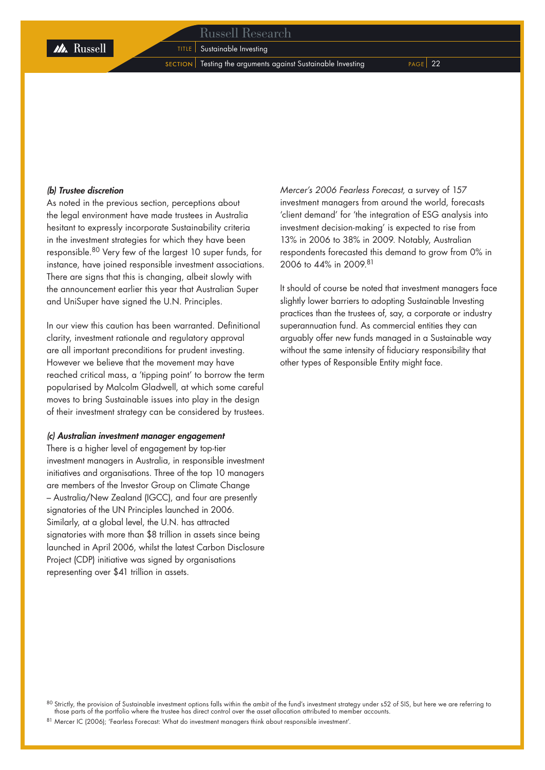**TITLE** Sustainable Investing

 $S$  SECTION Testing the arguments against Sustainable Investing  $P_{AGE}$  22

### *(b) Trustee discretion*

As noted in the previous section, perceptions about the legal environment have made trustees in Australia hesitant to expressly incorporate Sustainability criteria in the investment strategies for which they have been responsible.80 Very few of the largest 10 super funds, for instance, have joined responsible investment associations. There are signs that this is changing, albeit slowly with the announcement earlier this year that Australian Super and UniSuper have signed the U.N. Principles.

In our view this caution has been warranted. Definitional clarity, investment rationale and regulatory approval are all important preconditions for prudent investing. However we believe that the movement may have reached critical mass, a 'tipping point' to borrow the term popularised by Malcolm Gladwell, at which some careful moves to bring Sustainable issues into play in the design of their investment strategy can be considered by trustees.

### *(c) Australian investment manager engagement*

There is a higher level of engagement by top-tier investment managers in Australia, in responsible investment initiatives and organisations. Three of the top 10 managers are members of the Investor Group on Climate Change – Australia/New Zealand (IGCC), and four are presently signatories of the UN Principles launched in 2006. Similarly, at a global level, the U.N. has attracted signatories with more than \$8 trillion in assets since being launched in April 2006, whilst the latest Carbon Disclosure Project (CDP) initiative was signed by organisations representing over \$41 trillion in assets.

*Mercer's 2006 Fearless Forecast,* a survey of 157 investment managers from around the world, forecasts 'client demand' for 'the integration of ESG analysis into investment decision-making' is expected to rise from 13% in 2006 to 38% in 2009. Notably, Australian respondents forecasted this demand to grow from 0% in 2006 to 44% in 2009.81

It should of course be noted that investment managers face slightly lower barriers to adopting Sustainable Investing practices than the trustees of, say, a corporate or industry superannuation fund. As commercial entities they can arguably offer new funds managed in a Sustainable way without the same intensity of fiduciary responsibility that other types of Responsible Entity might face.

81 Mercer IC (2006); 'Fearless Forecast: What do investment managers think about responsible investment'.

 $^{80}$  Strictly, the provision of Sustainable investment options falls within the ambit of the fund's investment strategy under s52 of SIS, but here we are referring to those parts of the portfolio where the trustee has direct control over the asset allocation attributed to member accounts.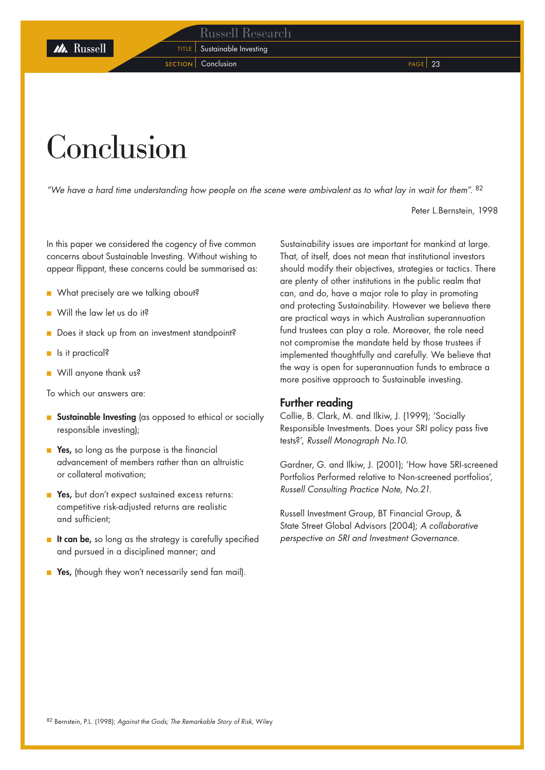**TITLE** Sustainable Investing section Conclusion **Page 23** 

# Conclusion

*"We have a hard time understanding how people on the scene were ambivalent as to what lay in wait for them".* <sup>82</sup>

Peter L.Bernstein, 1998

In this paper we considered the cogency of five common concerns about Sustainable Investing. Without wishing to appear flippant, these concerns could be summarised as:

- What precisely are we talking about?
- Will the law let us do it?
- Does it stack up from an investment standpoint?
- Is it practical?
- Will anyone thank us?

To which our answers are:

- Sustainable Investing (as opposed to ethical or socially responsible investing);
- Yes, so long as the purpose is the financial advancement of members rather than an altruistic or collateral motivation;
- Yes, but don't expect sustained excess returns: competitive risk-adjusted returns are realistic and sufficient;
- It can be, so long as the strategy is carefully specified and pursued in a disciplined manner; and
- Yes, (though they won't necessarily send fan mail).

Sustainability issues are important for mankind at large. That, of itself, does not mean that institutional investors should modify their objectives, strategies or tactics. There are plenty of other institutions in the public realm that can, and do, have a major role to play in promoting and protecting Sustainability. However we believe there are practical ways in which Australian superannuation fund trustees can play a role. Moreover, the role need not compromise the mandate held by those trustees if implemented thoughtfully and carefully. We believe that the way is open for superannuation funds to embrace a more positive approach to Sustainable investing.

### Further reading

Collie, B. Clark, M. and Ilkiw, J. (1999); 'Socially Responsible Investments. Does your SRI policy pass five tests?', *Russell Monograph No.10.*

Gardner, G. and Ilkiw, J. (2001); 'How have SRI-screened Portfolios Performed relative to Non-screened portfolios', *Russell Consulting Practice Note, No.21.*

Russell Investment Group, BT Financial Group, & State Street Global Advisors (2004); *A collaborative perspective on SRI and Investment Governance.*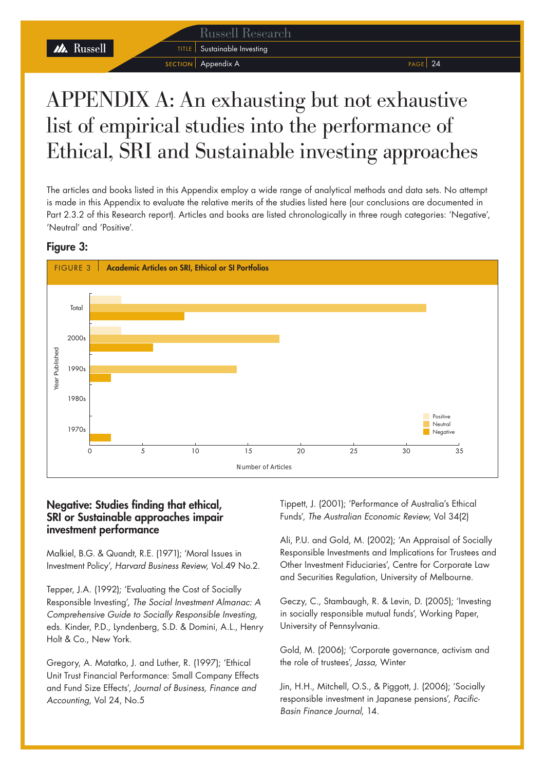M Russell

SECTION Appendix A PAGE 24

**TITLE** Sustainable Investing

## APPENDIX A: An exhausting but not exhaustive list of empirical studies into the performance of Ethical, SRI and Sustainable investing approaches

The articles and books listed in this Appendix employ a wide range of analytical methods and data sets. No attempt is made in this Appendix to evaluate the relative merits of the studies listed here (our conclusions are documented in Part 2.3.2 of this Research report). Articles and books are listed chronologically in three rough categories: 'Negative', 'Neutral' and 'Positive'.

### Figure 3:



### Negative: Studies finding that ethical, SRI or Sustainable approaches impair investment performance

Malkiel, B.G. & Quandt, R.E. (1971); 'Moral Issues in Investment Policy', *Harvard Business Review,* Vol.49 No.2.

Tepper, J.A. (1992); 'Evaluating the Cost of Socially Responsible Investing', *The Social Investment Almanac: A Comprehensive Guide to Socially Responsible Investing,* eds. Kinder, P.D., Lyndenberg, S.D. & Domini, A.L., Henry Holt & Co., New York.

Gregory, A. Matatko, J. and Luther, R. (1997); 'Ethical Unit Trust Financial Performance: Small Company Effects and Fund Size Effects', *Journal of Business, Finance and Accounting,* Vol 24, No.5

Tippett, J. (2001); 'Performance of Australia's Ethical Funds', *The Australian Economic Review,* Vol 34(2)

Ali, P.U. and Gold, M. (2002); 'An Appraisal of Socially Responsible Investments and Implications for Trustees and Other Investment Fiduciaries', Centre for Corporate Law and Securities Regulation, University of Melbourne.

Geczy, C., Stambaugh, R. & Levin, D. (2005); 'Investing in socially responsible mutual funds', Working Paper, University of Pennsylvania.

Gold, M. (2006); 'Corporate governance, activism and the role of trustees', *Jassa,* Winter

Jin, H.H., Mitchell, O.S., & Piggott, J. (2006); 'Socially responsible investment in Japanese pensions', *Pacific-Basin Finance Journal,* 14.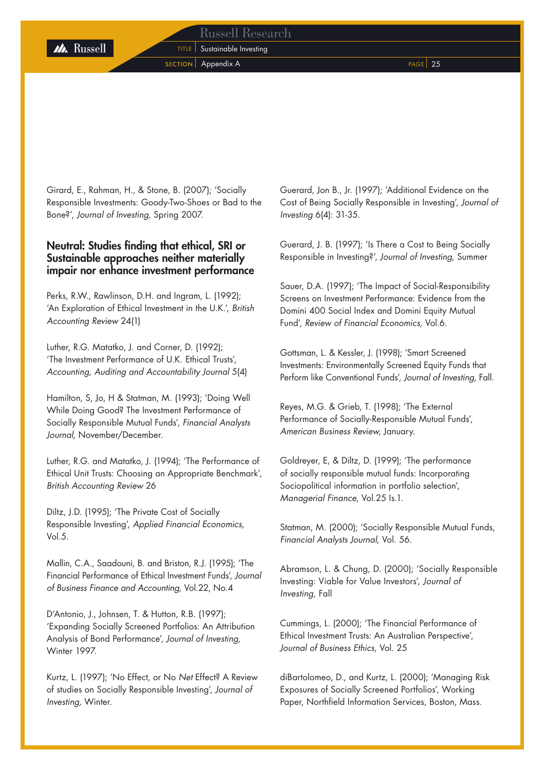TITLE | Sustainable Investing SECTION Appendix A PAGE 25

Girard, E., Rahman, H., & Stone, B. (2007); 'Socially Responsible Investments: Goody-Two-Shoes or Bad to the Bone?', *Journal of Investing,* Spring 2007.

### Neutral: Studies finding that ethical, SRI or Sustainable approaches neither materially impair nor enhance investment performance

Perks, R.W., Rawlinson, D.H. and Ingram, L. (1992); 'An Exploration of Ethical Investment in the U.K.', *British Accounting Review* 24(1)

Luther, R.G. Matatko, J. and Corner, D. (1992); 'The Investment Performance of U.K. Ethical Trusts', *Accounting, Auditing and Accountability Journal* 5(4)

Hamilton, S, Jo, H & Statman, M. (1993); 'Doing Well While Doing Good? The Investment Performance of Socially Responsible Mutual Funds', *Financial Analysts Journal,* November/December.

Luther, R.G. and Matatko, J. (1994); 'The Performance of Ethical Unit Trusts: Choosing an Appropriate Benchmark', *British Accounting Review* 26

Diltz, J.D. (1995); 'The Private Cost of Socially Responsible Investing', *Applied Financial Economics,*  Vol.5.

Mallin, C.A., Saadouni, B. and Briston, R.J. (1995); 'The Financial Performance of Ethical Investment Funds', *Journal of Business Finance and Accounting,* Vol.22, No.4

D'Antonio, J., Johnsen, T. & Hutton, R.B. (1997); 'Expanding Socially Screened Portfolios: An Attribution Analysis of Bond Performance', *Journal of Investing,* Winter 1997.

Kurtz, L. (1997); 'No Effect, or No *Net* Effect? A Review of studies on Socially Responsible Investing', *Journal of Investing,* Winter.

Guerard, Jon B., Jr. (1997); 'Additional Evidence on the Cost of Being Socially Responsible in Investing', *Journal of Investing* 6(4): 31-35.

Guerard, J. B. (1997); 'Is There a Cost to Being Socially Responsible in Investing?', *Journal of Investing,* Summer

Sauer, D.A. (1997); 'The Impact of Social-Responsibility Screens on Investment Performance: Evidence from the Domini 400 Social Index and Domini Equity Mutual Fund', *Review of Financial Economics,* Vol.6.

Gottsman, L. & Kessler, J. (1998); 'Smart Screened Investments: Environmentally Screened Equity Funds that Perform like Conventional Funds', *Journal of Investing,* Fall.

Reyes, M.G. & Grieb, T. (1998); 'The External Performance of Socially-Responsible Mutual Funds', *American Business Review,* January.

Goldreyer, E, & Diltz, D. (1999); 'The performance of socially responsible mutual funds: Incorporating Sociopolitical information in portfolio selection', *Managerial Finance,* Vol.25 Is.1.

Statman, M. (2000); 'Socially Responsible Mutual Funds, *Financial Analysts Journal,* Vol. 56.

Abramson, L. & Chung, D. (2000); 'Socially Responsible Investing: Viable for Value Investors', *Journal of Investing,* Fall

Cummings, L. (2000); 'The Financial Performance of Ethical Investment Trusts: An Australian Perspective', *Journal of Business Ethics,* Vol. 25

diBartolomeo, D., and Kurtz, L. (2000); 'Managing Risk Exposures of Socially Screened Portfolios', Working Paper, Northfield Information Services, Boston, Mass.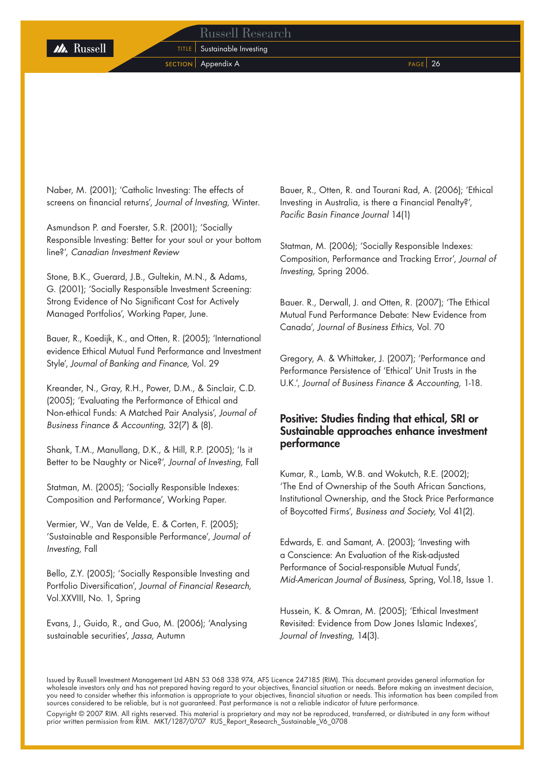**TITLE** Sustainable Investing section Appendix A Page 26

Naber, M. (2001); 'Catholic Investing: The effects of screens on financial returns', *Journal of Investing,* Winter.

Asmundson P. and Foerster, S.R. (2001); 'Socially Responsible Investing: Better for your soul or your bottom line?', *Canadian Investment Review*

Stone, B.K., Guerard, J.B., Gultekin, M.N., & Adams, G. (2001); 'Socially Responsible Investment Screening: Strong Evidence of No Significant Cost for Actively Managed Portfolios', Working Paper, June.

Bauer, R., Koedijk, K., and Otten, R. (2005); 'International evidence Ethical Mutual Fund Performance and Investment Style', *Journal of Banking and Finance,* Vol. 29

Kreander, N., Gray, R.H., Power, D.M., & Sinclair, C.D. (2005); 'Evaluating the Performance of Ethical and Non-ethical Funds: A Matched Pair Analysis', *Journal of Business Finance & Accounting,* 32(7) & (8).

Shank, T.M., Manullang, D.K., & Hill, R.P. (2005); 'Is it Better to be Naughty or Nice?', *Journal of Investing,* Fall

Statman, M. (2005); 'Socially Responsible Indexes: Composition and Performance', Working Paper.

Vermier, W., Van de Velde, E. & Corten, F. (2005); 'Sustainable and Responsible Performance', *Journal of Investing,* Fall

Bello, Z.Y. (2005); 'Socially Responsible Investing and Portfolio Diversification', *Journal of Financial Research,* Vol.XXVIII, No. 1, Spring

Evans, J., Guido, R., and Guo, M. (2006); 'Analysing sustainable securities', *Jassa,* Autumn

Bauer, R., Otten, R. and Tourani Rad, A. (2006); 'Ethical Investing in Australia, is there a Financial Penalty?', *Pacific Basin Finance Journal* 14(1)

Statman, M. (2006); 'Socially Responsible Indexes: Composition, Performance and Tracking Error', *Journal of Investing,* Spring 2006.

Bauer. R., Derwall, J. and Otten, R. (2007); 'The Ethical Mutual Fund Performance Debate: New Evidence from Canada', *Journal of Business Ethics,* Vol. 70

Gregory, A. & Whittaker, J. (2007); 'Performance and Performance Persistence of 'Ethical' Unit Trusts in the U.K.', *Journal of Business Finance & Accounting,* 1-18.

### Positive: Studies finding that ethical, SRI or Sustainable approaches enhance investment performance

Kumar, R., Lamb, W.B. and Wokutch, R.E. (2002); 'The End of Ownership of the South African Sanctions, Institutional Ownership, and the Stock Price Performance of Boycotted Firms', *Business and Society,* Vol 41(2).

Edwards, E. and Samant, A. (2003); 'Investing with a Conscience: An Evaluation of the Risk-adjusted Performance of Social-responsible Mutual Funds', *Mid-American Journal of Business,* Spring, Vol.18, Issue 1.

Hussein, K. & Omran, M. (2005); 'Ethical Investment Revisited: Evidence from Dow Jones Islamic Indexes', *Journal of Investing,* 14(3).

Issued by Russell Investment Management Ltd ABN 53 068 338 974, AFS Licence 247185 (RIM). This document provides general information for wholesale investors only and has not prepared having regard to your objectives, financial situation or needs. Before making an investment decision, you need to consider whether this information is appropriate to your objectives, financial situation or needs. This information has been compiled from sources considered to be reliable, but is not guaranteed. Past performance is not a reliable indicator of future performance. Copyright © 2007 RIM. All rights reserved. This material is proprietary and may not be reproduced, transferred, or distributed in any form without prior written permission from RIM. MKT/1287/0707 RUS\_Report\_Research\_Sustainable\_V6\_0708